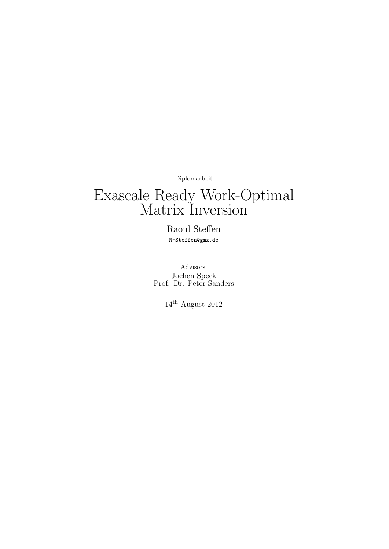Diplomarbeit

# Exascale Ready Work-Optimal Matrix Inversion

Raoul Steffen R-Steffen@gmx.de

Advisors: Jochen Speck Prof. Dr. Peter Sanders

 $14^{\text{th}}$  August 2012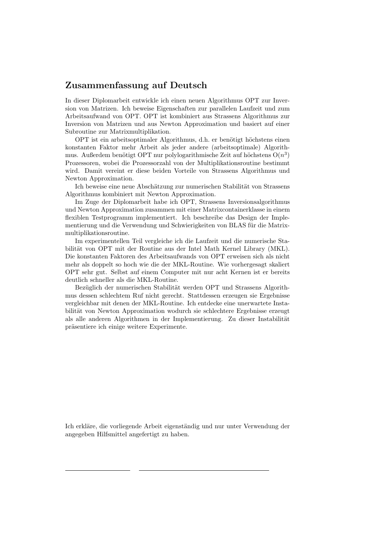# Zusammenfassung auf Deutsch

In dieser Diplomarbeit entwickle ich einen neuen Algorithmus OPT zur Inversion von Matrizen. Ich beweise Eigenschaften zur parallelen Laufzeit und zum Arbeitsaufwand von OPT. OPT ist kombiniert aus Strassens Algorithmus zur Inversion von Matrizen und aus Newton Approximation und basiert auf einer Subroutine zur Matrixmultiplikation.

OPT ist ein arbeitsoptimaler Algorithmus, d.h. er benötigt höchstens einen konstanten Faktor mehr Arbeit als jeder andere (arbeitsoptimale) Algorithmus. Außerdem benötigt OPT nur polylogarithmische Zeit auf höchstens  $O(n^3)$ Prozessoren, wobei die Prozessorzahl von der Multiplikationsroutine bestimmt wird. Damit vereint er diese beiden Vorteile von Strassens Algorithmus und Newton Approximation.

Ich beweise eine neue Abschätzung zur numerischen Stabilität von Strassens Algorithmus kombiniert mit Newton Approximation.

Im Zuge der Diplomarbeit habe ich OPT, Strassens Inversionsalgorithmus und Newton Approximation zusammen mit einer Matrixcontainerklasse in einem flexiblen Testprogramm implementiert. Ich beschreibe das Design der Implementierung und die Verwendung und Schwierigkeiten von BLAS für die Matrixmultiplikationsroutine.

Im experimentellen Teil vergleiche ich die Laufzeit und die numerische Stabilität von OPT mit der Routine aus der Intel Math Kernel Library (MKL). Die konstanten Faktoren des Arbeitsaufwands von OPT erweisen sich als nicht mehr als doppelt so hoch wie die der MKL-Routine. Wie vorhergesagt skaliert OPT sehr gut. Selbst auf einem Computer mit nur acht Kernen ist er bereits deutlich schneller als die MKL-Routine.

Bezüglich der numerischen Stabilität werden OPT und Strassens Algorithmus dessen schlechtem Ruf nicht gerecht. Stattdessen erzeugen sie Ergebnisse vergleichbar mit denen der MKL-Routine. Ich entdecke eine unerwartete Instabilität von Newton Approximation wodurch sie schlechtere Ergebnisse erzeugt als alle anderen Algorithmen in der Implementierung. Zu dieser Instabilität präsentiere ich einige weitere Experimente.

Ich erkläre, die vorliegende Arbeit eigenständig und nur unter Verwendung der angegeben Hilfsmittel angefertigt zu haben.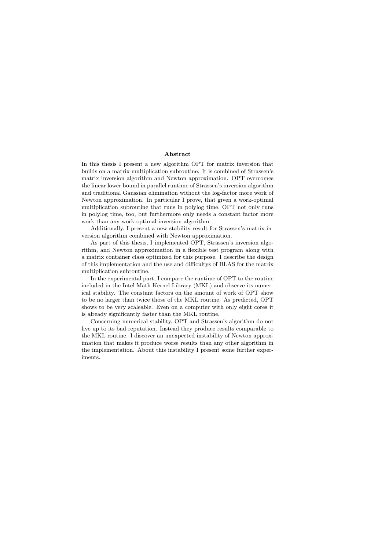#### Abstract

In this thesis I present a new algorithm OPT for matrix inversion that builds on a matrix multiplication subroutine. It is combined of Strassen's matrix inversion algorithm and Newton approximation. OPT overcomes the linear lower bound in parallel runtime of Strassen's inversion algorithm and traditional Gaussian elimination without the log-factor more work of Newton approximation. In particular I prove, that given a work-optimal multiplication subroutine that runs in polylog time, OPT not only runs in polylog time, too, but furthermore only needs a constant factor more work than any work-optimal inversion algorithm.

Additionally, I present a new stability result for Strassen's matrix inversion algorithm combined with Newton approximation.

As part of this thesis, I implemented OPT, Strassen's inversion algorithm, and Newton approximation in a flexible test program along with a matrix container class optimized for this purpose. I describe the design of this implementation and the use and difficultys of BLAS for the matrix multiplication subroutine.

In the experimental part, I compare the runtime of OPT to the routine included in the Intel Math Kernel Library (MKL) and observe its numerical stability. The constant factors on the amount of work of OPT show to be no larger than twice those of the MKL routine. As predicted, OPT shows to be very scaleable. Even on a computer with only eight cores it is already significantly faster than the MKL routine.

Concerning numerical stability, OPT and Strassen's algorithm do not live up to its bad reputation. Instead they produce results comparable to the MKL routine. I discover an unexpected instability of Newton approximation that makes it produce worse results than any other algorithm in the implementation. About this instability I present some further experiments.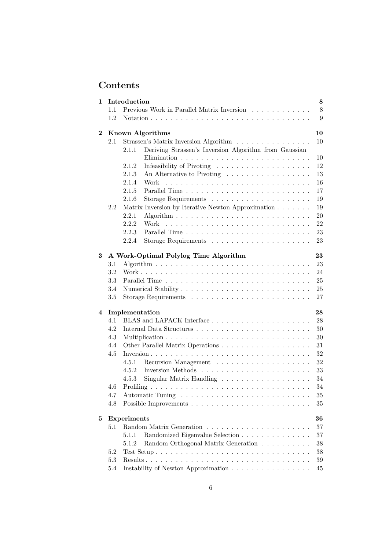# Contents

| 1        | Introduction | 8                                                                        |        |  |  |  |  |  |  |  |  |
|----------|--------------|--------------------------------------------------------------------------|--------|--|--|--|--|--|--|--|--|
|          | 1.1          | $8\,$<br>Previous Work in Parallel Matrix Inversion                      |        |  |  |  |  |  |  |  |  |
|          | 1.2          |                                                                          | 9      |  |  |  |  |  |  |  |  |
| $\bf{2}$ |              | <b>Known Algorithms</b>                                                  | 10     |  |  |  |  |  |  |  |  |
|          | 2.1          | Strassen's Matrix Inversion Algorithm                                    | 10     |  |  |  |  |  |  |  |  |
|          |              | Deriving Strassen's Inversion Algorithm from Gaussian<br>2.1.1           |        |  |  |  |  |  |  |  |  |
|          |              |                                                                          | 10     |  |  |  |  |  |  |  |  |
|          |              | 2.1.2                                                                    | 12     |  |  |  |  |  |  |  |  |
|          |              | 2.1.3<br>An Alternative to Pivoting                                      | 13     |  |  |  |  |  |  |  |  |
|          |              | 2.1.4<br>Work                                                            | 16     |  |  |  |  |  |  |  |  |
|          |              | 2.1.5                                                                    | 17     |  |  |  |  |  |  |  |  |
|          |              | 2.1.6                                                                    | 19     |  |  |  |  |  |  |  |  |
|          | 2.2          | Matrix Inversion by Iterative Newton Approximation                       | 19     |  |  |  |  |  |  |  |  |
|          |              | 2.2.1                                                                    | 20     |  |  |  |  |  |  |  |  |
|          |              | 2.2.2<br>Work                                                            | 22     |  |  |  |  |  |  |  |  |
|          |              | 2.2.3                                                                    | 23     |  |  |  |  |  |  |  |  |
|          |              | 2.2.4                                                                    | 23     |  |  |  |  |  |  |  |  |
| 3        |              | A Work-Optimal Polylog Time Algorithm                                    | 23     |  |  |  |  |  |  |  |  |
|          | 3.1          |                                                                          | 23     |  |  |  |  |  |  |  |  |
|          | 3.2          |                                                                          | 24     |  |  |  |  |  |  |  |  |
|          | 3.3          |                                                                          | 25     |  |  |  |  |  |  |  |  |
|          | 3.4          |                                                                          | 25     |  |  |  |  |  |  |  |  |
|          | 3.5          |                                                                          | 27     |  |  |  |  |  |  |  |  |
| 4        |              | Implementation                                                           | 28     |  |  |  |  |  |  |  |  |
|          | 4.1          |                                                                          | 28     |  |  |  |  |  |  |  |  |
|          | 4.2          |                                                                          | 30     |  |  |  |  |  |  |  |  |
|          | 4.3          |                                                                          | 30     |  |  |  |  |  |  |  |  |
|          | 4.4          |                                                                          | 31     |  |  |  |  |  |  |  |  |
|          | 4.5          |                                                                          | 32     |  |  |  |  |  |  |  |  |
|          |              | 4.5.1                                                                    | 32     |  |  |  |  |  |  |  |  |
|          |              | 4.5.2                                                                    | 33     |  |  |  |  |  |  |  |  |
|          |              | Singular Matrix Handling<br>4.5.3                                        | 34     |  |  |  |  |  |  |  |  |
|          | 4.6          |                                                                          | 34     |  |  |  |  |  |  |  |  |
|          | 4.7          |                                                                          | 35     |  |  |  |  |  |  |  |  |
|          | 4.8          |                                                                          | 35     |  |  |  |  |  |  |  |  |
| 5        |              | Experiments                                                              | 36     |  |  |  |  |  |  |  |  |
|          | 5.1          | 37                                                                       |        |  |  |  |  |  |  |  |  |
|          |              | 5.1.1<br>Randomized Eigenvalue Selection                                 | 37     |  |  |  |  |  |  |  |  |
|          |              | 5.1.2<br>Random Orthogonal Matrix Generation                             | 38     |  |  |  |  |  |  |  |  |
|          | 5.2          |                                                                          | $38\,$ |  |  |  |  |  |  |  |  |
|          | 5.3          |                                                                          | $39\,$ |  |  |  |  |  |  |  |  |
|          | 5.4          | Instability of Newton Approximation $\ldots \ldots \ldots \ldots \ldots$ | 45     |  |  |  |  |  |  |  |  |
|          |              |                                                                          |        |  |  |  |  |  |  |  |  |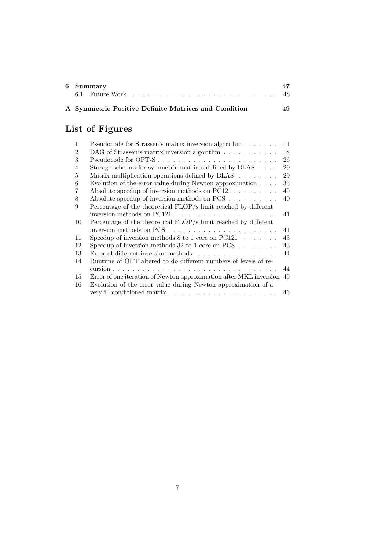| 6 Summary                                            |     |
|------------------------------------------------------|-----|
|                                                      |     |
| A Symmetric Positive Definite Matrices and Condition | 49. |

# List of Figures

| $\mathbf{1}$   | Pseudocode for Strassen's matrix inversion algorithm                  | 11 |
|----------------|-----------------------------------------------------------------------|----|
| $\mathfrak{D}$ | DAG of Strassen's matrix inversion algorithm                          | 18 |
| 3              |                                                                       | 26 |
| $\overline{4}$ | Storage schemes for symmetric matrices defined by BLAS $\dots$ .      | 29 |
| 5              | Matrix multiplication operations defined by BLAS                      | 29 |
| 6              | Evolution of the error value during Newton approximation $\ldots$ .   | 33 |
| 7              | Absolute speedup of inversion methods on $PC121$                      | 40 |
| 8              | Absolute speedup of inversion methods on $PCS$                        | 40 |
| 9              | Percentage of the theoretical FLOP/s limit reached by different       |    |
|                |                                                                       | 41 |
| 10             | Percentage of the theoretical FLOP/s limit reached by different       |    |
|                |                                                                       | 41 |
| 11             | Speedup of inversion methods $8$ to 1 core on PC121                   | 43 |
| 12             | Speedup of inversion methods 32 to 1 core on PCS $\ldots \ldots$      | 43 |
| 13             | Error of different inversion methods                                  | 44 |
| 14             | Runtime of OPT altered to do different numbers of levels of re-       |    |
|                |                                                                       | 44 |
| 15             | Error of one iteration of Newton approximation after MKL inversion 45 |    |
| 16             | Evolution of the error value during Newton approximation of a         |    |
|                |                                                                       | 46 |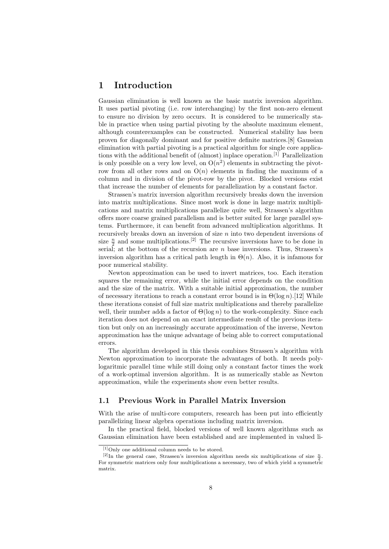# 1 Introduction

Gaussian elimination is well known as the basic matrix inversion algorithm. It uses partial pivoting (i.e. row interchanging) by the first non-zero element to ensure no division by zero occurs. It is considered to be numerically stable in practice when using partial pivoting by the absolute maximum element, although counterexamples can be constructed. Numerical stability has been proven for diagonally dominant and for positive definite matrices.[8] Gaussian elimination with partial pivoting is a practical algorithm for single core applications with the additional benefit of (almost) inplace operation.<sup>[1]</sup> Parallelization is only possible on a very low level, on  $O(n^2)$  elements in subtracting the pivotrow from all other rows and on  $O(n)$  elements in finding the maximum of a column and in division of the pivot-row by the pivot. Blocked versions exist that increase the number of elements for parallelization by a constant factor.

Strassen's matrix inversion algorithm recursively breaks down the inversion into matrix multiplications. Since most work is done in large matrix multiplications and matrix multiplications parallelize quite well, Strassen's algorithm offers more coarse grained parallelism and is better suited for large parallel systems. Furthermore, it can benefit from advanced multiplication algorithms. It recursively breaks down an inversion of size  $n$  into two dependent inversions of size  $\frac{n}{2}$  and some multiplications.<sup>[2]</sup> The recursive inversions have to be done in serial; at the bottom of the recursion are n base inversions. Thus, Strassen's inversion algorithm has a critical path length in  $\Theta(n)$ . Also, it is infamous for poor numerical stability.

Newton approximation can be used to invert matrices, too. Each iteration squares the remaining error, while the initial error depends on the condition and the size of the matrix. With a suitable initial approximation, the number of necessary iterations to reach a constant error bound is in  $\Theta(\log n)$ . [12] While these iterations consist of full size matrix multiplications and thereby parallelize well, their number adds a factor of  $\Theta(\log n)$  to the work-complexity. Since each iteration does not depend on an exact intermediate result of the previous iteration but only on an increasingly accurate approximation of the inverse, Newton approximation has the unique advantage of being able to correct computational errors.

The algorithm developed in this thesis combines Strassen's algorithm with Newton approximation to incorporate the advantages of both. It needs polylogaritmic parallel time while still doing only a constant factor times the work of a work-optimal inversion algorithm. It is as numerically stable as Newton approximation, while the experiments show even better results.

## 1.1 Previous Work in Parallel Matrix Inversion

With the arise of multi-core computers, research has been put into efficiently parallelizing linear algebra operations including matrix inversion.

In the practical field, blocked versions of well known algorithms such as Gaussian elimination have been established and are implemented in valued li-

<sup>[1]</sup>Only one additional column needs to be stored.

<sup>&</sup>lt;sup>[2]</sup>In the general case, Strassen's inversion algorithm needs six multiplications of size  $\frac{n}{2}$ . 2 For symmetric matrices only four multiplications a necessary, two of which yield a symmetric matrix.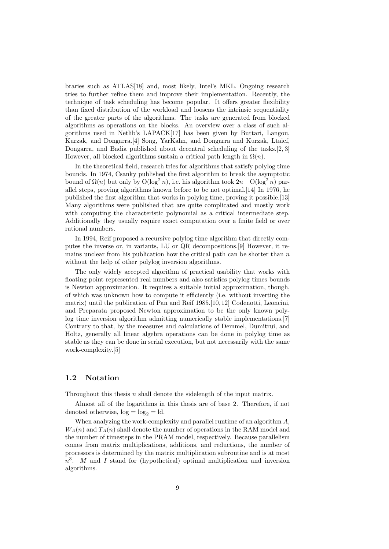braries such as ATLAS[18] and, most likely, Intel's MKL. Ongoing research tries to further refine them and improve their implementation. Recently, the technique of task scheduling has become popular. It offers greater flexibility than fixed distribution of the workload and loosens the intrinsic sequentiality of the greater parts of the algorithms. The tasks are generated from blocked algorithms as operations on the blocks. An overview over a class of such algorithms used in Netlib's LAPACK[17] has been given by Buttari, Langou, Kurzak, and Dongarra.[4] Song, YarKahn, and Dongarra and Kurzak, Ltaief, Dongarra, and Badia published about decentral scheduling of the tasks.[2, 3] However, all blocked algorithms sustain a critical path length in  $\Omega(n)$ .

In the theoretical field, research tries for algorithms that satisfy polylog time bounds. In 1974, Csanky published the first algorithm to break the asymptotic bound of  $\Omega(n)$  but only by  $\mathcal{O}(\log^2 n)$ , i.e. his algorithm took  $2n - \mathcal{O}(\log^2 n)$  parallel steps, proving algorithms known before to be not optimal.[14] In 1976, he published the first algorithm that works in polylog time, proving it possible.[13] Many algorithms were published that are quite complicated and mostly work with computing the characteristic polynomial as a critical intermediate step. Additionally they usually require exact computation over a finite field or over rational numbers.

In 1994, Reif proposed a recursive polylog time algorithm that directly computes the inverse or, in variants, LU or QR decompositions.[9] However, it remains unclear from his publication how the critical path can be shorter than  $n$ without the help of other polylog inversion algorithms.

The only widely accepted algorithm of practical usability that works with floating point represented real numbers and also satisfies polylog times bounds is Newton approximation. It requires a suitable initial approximation, though, of which was unknown how to compute it efficiently (i.e. without inverting the matrix) until the publication of Pan and Reif 1985.[10, 12] Codenotti, Leoncini, and Preparata proposed Newton approximation to be the only known polylog time inversion algorithm admitting numerically stable implementations.[7] Contrary to that, by the measures and calculations of Demmel, Dumitrui, and Holtz, generally all linear algebra operations can be done in polylog time as stable as they can be done in serial execution, but not necessarily with the same work-complexity.[5]

## 1.2 Notation

Throughout this thesis n shall denote the sidelength of the input matrix.

Almost all of the logarithms in this thesis are of base 2. Therefore, if not denoted otherwise,  $log = log_2 = ld$ .

When analyzing the work-complexity and parallel runtime of an algorithm A,  $W_A(n)$  and  $T_A(n)$  shall denote the number of operations in the RAM model and the number of timesteps in the PRAM model, respectively. Because parallelism comes from matrix multiplications, additions, and reductions, the number of processors is determined by the matrix multiplication subroutine and is at most  $n^3$ . M and I stand for (hypothetical) optimal multiplication and inversion algorithms.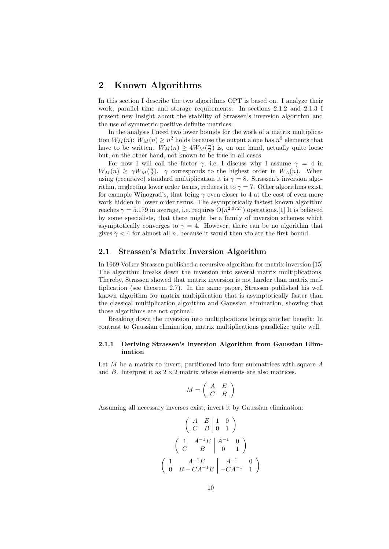# 2 Known Algorithms

In this section I describe the two algorithms OPT is based on. I analyze their work, parallel time and storage requirements. In sections 2.1.2 and 2.1.3 I present new insight about the stability of Strassen's inversion algorithm and the use of symmetric positive definite matrices.

In the analysis I need two lower bounds for the work of a matrix multiplication  $W_M(n)$ :  $W_M(n) \geq n^2$  holds because the output alone has  $n^2$  elements that have to be written.  $W_M(n) \geq 4W_M(\frac{n}{2})$  is, on one hand, actually quite loose but, on the other hand, not known to be true in all cases.

For now I will call the factor  $\gamma$ , i.e. I discuss why I assume  $\gamma = 4$  in  $W_M(n) \geq \gamma W_M(\frac{n}{2})$ .  $\gamma$  corresponds to the highest order in  $W_A(n)$ . When using (recursive) standard multiplication it is  $\gamma = 8$ . Strassen's inversion algorithm, neglecting lower order terms, reduces it to  $\gamma = 7$ . Other algorithms exist, for example Winograd's, that bring  $\gamma$  even closer to 4 at the cost of even more work hidden in lower order terms. The asymptotically fastest known algorithm reaches  $\gamma = 5.179$  in average, i.e. requires  $O(n^{2.3727})$  operations. [1] It is believed by some specialists, that there might be a family of inversion schemes which asymptotically converges to  $\gamma = 4$ . However, there can be no algorithm that gives  $\gamma < 4$  for almost all n, because it would then violate the first bound.

#### 2.1 Strassen's Matrix Inversion Algorithm

In 1969 Volker Strassen published a recursive algorithm for matrix inversion.[15] The algorithm breaks down the inversion into several matrix multiplications. Thereby, Strassen showed that matrix inversion is not harder than matrix multiplication (see theorem 2.7). In the same paper, Strassen published his well known algorithm for matrix multiplication that is asymptotically faster than the classical multiplication algorithm and Gaussian elimination, showing that those algorithms are not optimal.

Breaking down the inversion into multiplications brings another benefit: In contrast to Gaussian elimination, matrix multiplications parallelize quite well.

#### 2.1.1 Deriving Strassen's Inversion Algorithm from Gaussian Elimination

Let  $M$  be a matrix to invert, partitioned into four submatrices with square  $A$ and B. Interpret it as  $2 \times 2$  matrix whose elements are also matrices.

$$
M = \left( \begin{array}{cc} A & E \\ C & B \end{array} \right)
$$

Assuming all necessary inverses exist, invert it by Gaussian elimination:

$$
\begin{pmatrix}\nA & E & 1 & 0 \\
C & B & 0 & 1\n\end{pmatrix}
$$
\n
$$
\begin{pmatrix}\n1 & A^{-1}E & A^{-1} & 0 \\
C & B & 0 & 1\n\end{pmatrix}
$$
\n
$$
\begin{pmatrix}\n1 & A^{-1}E & A^{-1} & 0 \\
0 & B - CA^{-1}E & -CA^{-1} & 1\n\end{pmatrix}
$$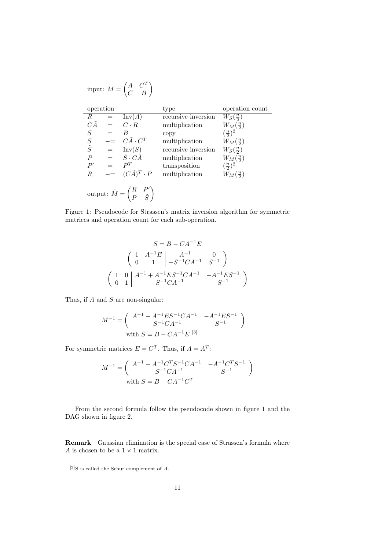input: 
$$
M = \begin{pmatrix} A & C^T \\ C & B \end{pmatrix}
$$
  
\noperation  
\n $R = Inv(A)$  recursive inversion  $W_S(\frac{n}{2})$   
\n $C\tilde{A} = C \cdot R$  multiplication  
\n $S = B$  copy  
\n $S = C\tilde{A} \cdot C^T$  multiplication  
\n $\tilde{S} = Inv(S)$  recursive inversion  
\n $P = \tilde{S} \cdot C\tilde{A}$  multiplication  
\n $P' = P^T$   
\n $R = (C\tilde{A})^T \cdot P$  multiplication  
\n $\begin{pmatrix} m_A(\frac{n}{2}) \\ m_B(\frac{n}{2}) \end{pmatrix}$   
\n $\begin{pmatrix} m_A(\frac{n}{2}) \\ m_B(\frac{n}{2}) \end{pmatrix}$   
\n $\begin{pmatrix} m_B(\frac{n}{2}) \\ m_B(\frac{n}{2}) \end{pmatrix}$   
\n $\begin{pmatrix} m_B(\frac{n}{2}) \\ m_B(\frac{n}{2}) \end{pmatrix}$   
\n $\begin{pmatrix} m_B(\frac{n}{2}) \\ m_B(\frac{n}{2}) \end{pmatrix}$   
\noutput:  $\tilde{M} = \begin{pmatrix} R & P' \\ P & \tilde{S} \end{pmatrix}$ 

Figure 1: Pseudocode for Strassen's matrix inversion algorithm for symmetric matrices and operation count for each sub-operation.

$$
S = B - CA^{-1}E
$$
  
\n
$$
\begin{pmatrix}\n1 & A^{-1}E & A^{-1} & 0 \\
0 & 1 & -S^{-1}CA^{-1} & S^{-1}\n\end{pmatrix}
$$
  
\n
$$
\begin{pmatrix}\n1 & 0 & A^{-1} + A^{-1}ES^{-1}CA^{-1} & -A^{-1}ES^{-1} \\
0 & 1 & -S^{-1}CA^{-1} & S^{-1}\n\end{pmatrix}
$$

Thus, if  $A$  and  $S$  are non-singular:

$$
M^{-1}=\left(\begin{array}{cc}A^{-1}+A^{-1}ES^{-1}CA^{-1}&-A^{-1}ES^{-1}\\-S^{-1}CA^{-1}&S^{-1}\\ \end{array}\right)
$$
 with  $S=B-CA^{-1}E$   $^{[3]}$ 

For symmetric matrices  $E = C^T$ . Thus, if  $A = A^T$ :

$$
M^{-1} = \begin{pmatrix} A^{-1} + A^{-1}C^{T}S^{-1}CA^{-1} & -A^{-1}C^{T}S^{-1} \\ -S^{-1}CA^{-1} & S^{-1} \end{pmatrix}
$$
  
with  $S = B - CA^{-1}C^{T}$ 

From the second formula follow the pseudocode shown in figure 1 and the DAG shown in figure 2.

Remark Gaussian elimination is the special case of Strassen's formula where  $A$  is chosen to be a  $1\times 1$  matrix.

 $[3]$ S is called the Schur complement of A.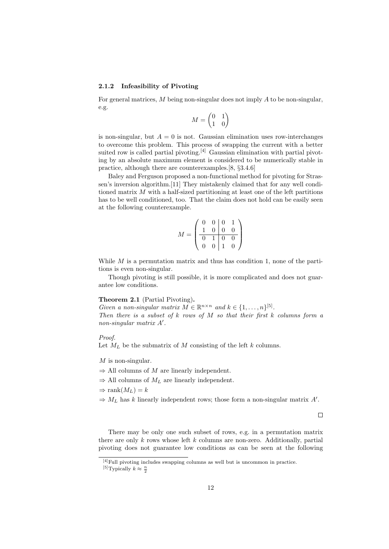#### 2.1.2 Infeasibility of Pivoting

For general matrices,  $M$  being non-singular does not imply  $A$  to be non-singular, e.g.

$$
M=\begin{pmatrix}0&1\\1&0\end{pmatrix}
$$

is non-singular, but  $A = 0$  is not. Gaussian elimination uses row-interchanges to overcome this problem. This process of swapping the current with a better suited row is called partial pivoting.<sup>[4]</sup> Gaussian elimination with partial pivoting by an absolute maximum element is considered to be numerically stable in practice, although there are counterexamples.[8, §3.4.6]

Baley and Ferguson proposed a non-functional method for pivoting for Strassen's inversion algorithm.[11] They mistakenly claimed that for any well conditioned matrix M with a half-sized partitioning at least one of the left partitions has to be well conditioned, too. That the claim does not hold can be easily seen at the following counterexample.

$$
M = \begin{pmatrix} 0 & 0 & 0 & 1 \\ 1 & 0 & 0 & 0 \\ \hline 0 & 1 & 0 & 0 \\ 0 & 0 & 1 & 0 \end{pmatrix}
$$

While  $M$  is a permutation matrix and thus has condition 1, none of the partitions is even non-singular.

Though pivoting is still possible, it is more complicated and does not guarantee low conditions.

#### Theorem 2.1 (Partial Pivoting).

Given a non-singular matrix  $M \in \mathbb{R}^{n \times n}$  and  $k \in \{1, \ldots, n\}^{5}$ . Then there is a subset of  $k$  rows of  $M$  so that their first  $k$  columns form a  $non-singular$  matrix  $A'$ .

#### Proof.

Let  $M_L$  be the submatrix of M consisting of the left k columns.

 $M$  is non-singular.

- $\Rightarrow$  All columns of M are linearly independent.
- $\Rightarrow$  All columns of  $M_L$  are linearly independent.
- $\Rightarrow$  rank $(M_L) = k$
- $\Rightarrow M_L$  has k linearly independent rows; those form a non-singular matrix A'.

 $\Box$ 

There may be only one such subset of rows, e.g. in a permutation matrix there are only  $k$  rows whose left  $k$  columns are non-zero. Additionally, partial pivoting does not guarantee low conditions as can be seen at the following

 $[4]$ Full pivoting includes swapping columns as well but is uncommon in practice. <sup>[5]</sup>Typically  $k \approx \frac{n}{2}$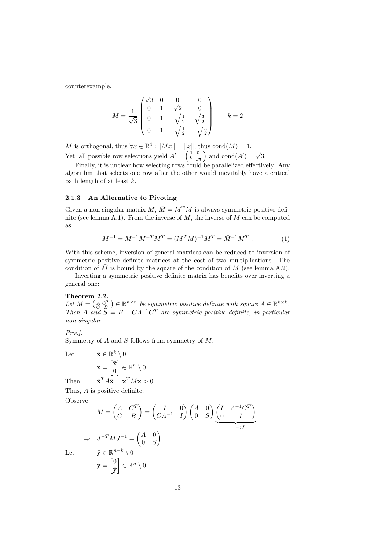counterexample.

$$
M = \frac{1}{\sqrt{3}} \begin{pmatrix} \sqrt{3} & 0 & 0 & 0 \\ 0 & 1 & \sqrt{2} & 0 \\ 0 & 1 & -\sqrt{\frac{1}{2}} & \sqrt{\frac{3}{2}} \\ 0 & 1 & -\sqrt{\frac{1}{2}} & -\sqrt{\frac{3}{2}} \end{pmatrix} \qquad k = 2
$$

M is orthogonal, thus  $\forall x \in \mathbb{R}^4 : ||Mx|| = ||x||$ , thus cond $(M) = 1$ . Yet, all possible row selections yield  $A' = \begin{pmatrix} 1 & 0 \\ 0 & \frac{1}{\sqrt{3}} \end{pmatrix}$  and  $\text{cond}(A') = \sqrt{3}$ .

Finally, it is unclear how selecting rows could be parallelized effectively. Any algorithm that selects one row after the other would inevitably have a critical path length of at least k.

#### 2.1.3 An Alternative to Pivoting

Given a non-singular matrix  $M, \overline{M} = M^T M$  is always symmetric positive definite (see lemma A.1). From the inverse of  $\overline{M}$ , the inverse of M can be computed as

$$
M^{-1} = M^{-1}M^{-T}M^{T} = (M^{T}M)^{-1}M^{T} = \bar{M}^{-1}M^{T}.
$$
 (1)

With this scheme, inversion of general matrices can be reduced to inversion of symmetric positive definite matrices at the cost of two multiplications. The condition of  $\overline{M}$  is bound by the square of the condition of  $M$  (see lemma A.2).

Inverting a symmetric positive definite matrix has benefits over inverting a general one:

#### Theorem 2.2.

Let  $M = \begin{pmatrix} A & C^T \\ C & B \end{pmatrix} \in \mathbb{R}^{n \times n}$  be symmetric positive definite with square  $A \in \mathbb{R}^{k \times k}$ . Then A and  $S = B - CA^{-1}C^{T}$  are symmetric positive definite, in particular non-singular.

Proof.

Symmetry of A and S follows from symmetry of M.

Then

Let 
$$
\bar{\mathbf{x}} \in \mathbb{R}^k \setminus 0
$$

$$
\mathbf{x} = \begin{bmatrix} \bar{\mathbf{x}} \\ 0 \end{bmatrix} \in \mathbb{R}^n \setminus 0
$$
Then 
$$
\bar{\mathbf{x}}^T A \bar{\mathbf{x}} = \mathbf{x}^T M \mathbf{x} > 0
$$

Thus, A is positive definite.

Observe

 $\Rightarrow$ 

$$
M = \begin{pmatrix} A & C^T \\ C & B \end{pmatrix} = \begin{pmatrix} I & 0 \\ CA^{-1} & I \end{pmatrix} \begin{pmatrix} A & 0 \\ 0 & S \end{pmatrix} \underbrace{\begin{pmatrix} I & A^{-1}C^T \\ 0 & I \end{pmatrix}}_{=:J}
$$
  

$$
J^{-T}MJ^{-1} = \begin{pmatrix} A & 0 \\ 0 & S \end{pmatrix}
$$
  

$$
\bar{\mathbf{y}} \in \mathbb{R}^{n-k} \setminus 0
$$
  

$$
\mathbf{y} = \begin{bmatrix} 0 \\ \bar{\mathbf{y}} \end{bmatrix} \in \mathbb{R}^n \setminus 0
$$

 $Let$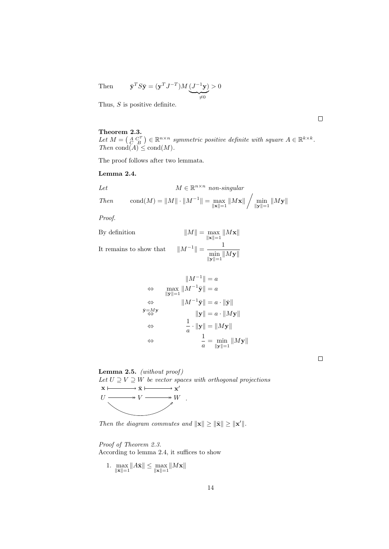Then 
$$
\bar{\mathbf{y}}^T S \bar{\mathbf{y}} = (\mathbf{y}^T J^{-T}) M \underbrace{(J^{-1} \mathbf{y})}_{\neq 0} > 0
$$

Thus,  $S$  is positive definite.

Theorem 2.3. Let  $M = \begin{pmatrix} A & C^T \\ C & B \end{pmatrix} \in \mathbb{R}^{n \times n}$  symmetric positive definite with square  $A \in \mathbb{R}^{k \times k}$ . Then  $\text{cond}(A) \leq \text{cond}(M)$ .

The proof follows after two lemmata.

#### Lemma 2.4.

Let 
$$
M \in \mathbb{R}^{n \times n} \text{ non-singular}
$$
  
Then 
$$
\text{cond}(M) = ||M|| \cdot ||M^{-1}|| = \max_{||\mathbf{x}||=1} ||M\mathbf{x}|| / \min_{||\mathbf{y}||=1} ||M\mathbf{y}||
$$

Proof.

By definition 
$$
||M|| = \max_{||\mathbf{x}||=1} ||M\mathbf{x}||
$$
  
It remains to show that 
$$
||M^{-1}|| = \frac{1}{\sqrt{2\pi}}.
$$

It remains to show that  $\,$  $\| = \frac{1}{\cdot}$  $\min_{\|\mathbf{y}\|=1}$   $\|M\mathbf{y}\|$ 

$$
||M^{-1}|| = a
$$
  
\n
$$
\Leftrightarrow \max_{||\mathbf{y}||=1} ||M^{-1}\mathbf{\bar{y}}|| = a
$$
  
\n
$$
\Leftrightarrow ||M^{-1}\mathbf{\bar{y}}|| = a \cdot ||\mathbf{\bar{y}}||
$$
  
\n
$$
\bar{\mathbf{y}} = M\mathbf{y}
$$
  
\n
$$
\Leftrightarrow \qquad ||\mathbf{y}|| = a \cdot ||M\mathbf{y}||
$$
  
\n
$$
\Leftrightarrow \qquad \frac{1}{a} \cdot ||\mathbf{y}|| = ||M\mathbf{y}||
$$
  
\n
$$
\Leftrightarrow \qquad \frac{1}{a} = \min_{||\mathbf{y}||=1} ||M\mathbf{y}||
$$

 $\Box$ 



Then the diagram commutes and  $\|\mathbf{x}\| \geq \|\bar{\mathbf{x}}\| \geq \|\mathbf{x}'\|.$ 

# Proof of Theorem 2.3. According to lemma 2.4, it suffices to show

1. 
$$
\max_{\|\bar{\mathbf{x}}\| = 1} \|A\bar{\mathbf{x}}\| \le \max_{\|\mathbf{x}\| = 1} \|M\mathbf{x}\|
$$

 $\Box$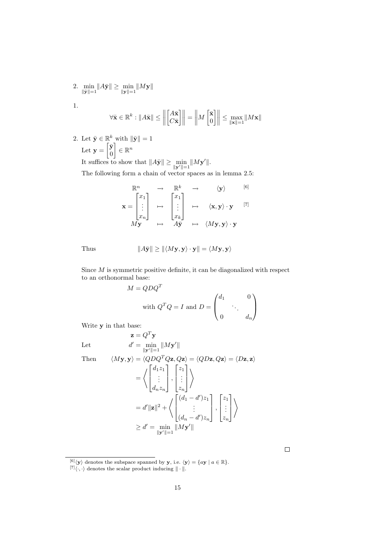2. 
$$
\min_{\|\bar{\mathbf{y}}\| = 1} \|A\bar{\mathbf{y}}\| \ge \min_{\|\mathbf{y}\| = 1} \|M\mathbf{y}\|
$$
1.

$$
\forall \bar{\mathbf{x}} \in \mathbb{R}^k: \|A\bar{\mathbf{x}}\| \le \left\|\begin{bmatrix} A\bar{\mathbf{x}} \\ C\bar{\mathbf{x}} \end{bmatrix}\right\| = \left\|M\begin{bmatrix} \bar{\mathbf{x}} \\ 0 \end{bmatrix}\right\| \le \max_{\|\mathbf{x}\|=1}\|M\mathbf{x}\|
$$

2. Let  $\bar{\mathbf{y}} \in \mathbb{R}^k$  with  $\|\bar{\mathbf{y}}\| = 1$ Let  $\mathbf{y} = \begin{bmatrix} \bar{\mathbf{y}} \\ 0 \end{bmatrix}$ 0  $\Big] \in \mathbb{R}^n$ It suffices to show that  $||A\bar{y}|| \ge \min_{||y'||=1} ||My'||.$ 

The following form a chain of vector spaces as in lemma 2.5:

$$
\mathbf{x} = \begin{bmatrix} x_1 \\ \vdots \\ x_n \end{bmatrix} \mapsto \begin{bmatrix} x_1 \\ \vdots \\ x_k \end{bmatrix} \mapsto \langle \mathbf{x}, \mathbf{y} \rangle \cdot \mathbf{y} \quad [6]
$$
  

$$
M\mathbf{y} \mapsto A\mathbf{y} \mapsto \langle M\mathbf{y}, \mathbf{y} \rangle \cdot \mathbf{y}
$$

Thus 
$$
||A\bar{\mathbf{y}}|| \ge ||\langle M\mathbf{y}, \mathbf{y} \rangle \cdot \mathbf{y}|| = \langle M\mathbf{y}, \mathbf{y} \rangle
$$

Since  $M$  is symmetric positive definite, it can be diagonalized with respect to an orthonormal base:

$$
M = QDQT
$$
  
with  $QTQ = I$  and  $D = \begin{pmatrix} d_1 & 0 \\ 0 & \ddots & d_n \end{pmatrix}$ 

Write y in that base:

Let

Let 
$$
d' = \min_{\|\mathbf{y}'\|=1} \|M\mathbf{y}'\|
$$
  
\nThen 
$$
\langle M\mathbf{y}, \mathbf{y} \rangle = \langle QDQ^T Q \mathbf{z}, Q \mathbf{z} \rangle = \langle QD\mathbf{z}, Q \mathbf{z} \rangle = \langle D\mathbf{z}, \mathbf{z} \rangle
$$

$$
= \left\langle \begin{bmatrix} d_1 z_1 \\ \vdots \\ d_n z_n \end{bmatrix}, \begin{bmatrix} z_1 \\ \vdots \\ z_n \end{bmatrix} \right\rangle
$$

$$
= d' \|\mathbf{z}\|^2 + \left\langle \begin{bmatrix} (d_1 - d') z_1 \\ \vdots \\ (d_n - d') z_n \end{bmatrix}, \begin{bmatrix} z_1 \\ \vdots \\ z_n \end{bmatrix} \right\rangle
$$

$$
\geq d' = \min_{\|\mathbf{y}'\|=1} \|M\mathbf{y}'\|
$$

 $\Box$ 

 $\mathbf{z}=Q^T\mathbf{y}$ 

 $[6] \langle y \rangle$  denotes the subspace spanned by y, i.e.  $\langle y \rangle = \{ay \mid a \in \mathbb{R}\}.$ 

 $[7]\langle \cdot, \cdot \rangle$  denotes the scalar product inducing  $\|\cdot\|$ .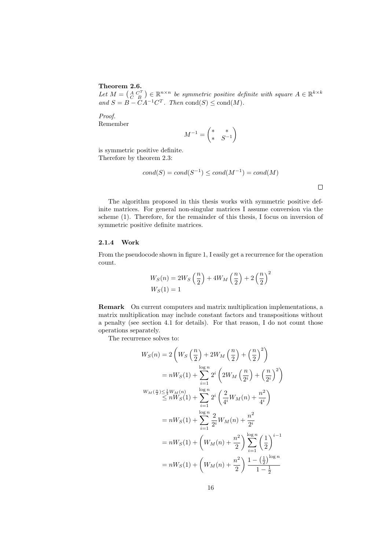Theorem 2.6.

Let  $M = \begin{pmatrix} A & C^T \\ C & B \end{pmatrix} \in \mathbb{R}^{n \times n}$  be symmetric positive definite with square  $A \in \mathbb{R}^{k \times k}$ and  $S = B - CA^{-1}C^{T}$ . Then cond(S)  $\leq$  cond(M).

Proof. Remember

$$
M^{-1}=\begin{pmatrix} *&*\\ *&S^{-1}\end{pmatrix}
$$

is symmetric positive definite. Therefore by theorem 2.3:

$$
cond(S) = cond(S^{-1}) \leq cond(M^{-1}) = cond(M)
$$

 $\Box$ 

The algorithm proposed in this thesis works with symmetric positive definite matrices. For general non-singular matrices I assume conversion via the scheme (1). Therefore, for the remainder of this thesis, I focus on inversion of symmetric positive definite matrices.

#### 2.1.4 Work

From the pseudocode shown in figure 1, I easily get a recurrence for the operation count.

$$
W_S(n) = 2W_S\left(\frac{n}{2}\right) + 4W_M\left(\frac{n}{2}\right) + 2\left(\frac{n}{2}\right)^2
$$
  

$$
W_S(1) = 1
$$

Remark On current computers and matrix multiplication implementations, a matrix multiplication may include constant factors and transpositions without a penalty (see section 4.1 for details). For that reason, I do not count those operations separately.

The recurrence solves to:

$$
W_S(n) = 2\left(W_S\left(\frac{n}{2}\right) + 2W_M\left(\frac{n}{2}\right) + \left(\frac{n}{2}\right)^2\right)
$$
  
\n
$$
= nW_S(1) + \sum_{i=1}^{\log n} 2^i \left(2W_M\left(\frac{n}{2^i}\right) + \left(\frac{n}{2^i}\right)^2\right)
$$
  
\n
$$
W_M\left(\frac{n}{2}\right) \leq \frac{1}{4}W_M(n)
$$
  
\n
$$
\leq nW_S(1) + \sum_{i=1}^{\log n} 2^i \left(\frac{2}{4^i}W_M(n) + \frac{n^2}{4^i}\right)
$$
  
\n
$$
= nW_S(1) + \sum_{i=1}^{\log n} \frac{2}{2^i}W_M(n) + \frac{n^2}{2^i}
$$
  
\n
$$
= nW_S(1) + \left(W_M(n) + \frac{n^2}{2}\right) \sum_{i=1}^{\log n} \left(\frac{1}{2}\right)^{i-1}
$$
  
\n
$$
= nW_S(1) + \left(W_M(n) + \frac{n^2}{2}\right) \frac{1 - \left(\frac{1}{2}\right)^{\log n}}{1 - \frac{1}{2}}
$$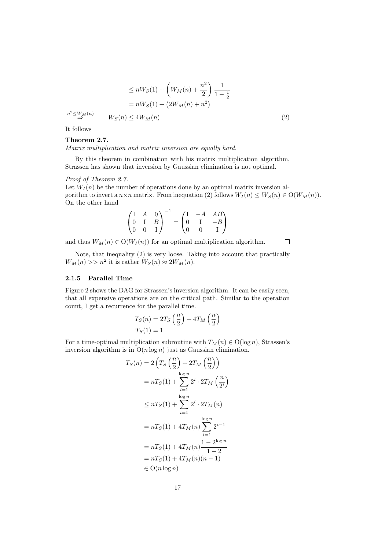$$
\leq nW_S(1) + \left(W_M(n) + \frac{n^2}{2}\right) \frac{1}{1 - \frac{1}{2}}
$$

$$
= nW_S(1) + \left(2W_M(n) + n^2\right)
$$

$$
n^2 \leq W_M(n)
$$

$$
W_S(n) \leq 4W_M(n)
$$
(2)

It follows

#### Theorem 2.7.

Matrix multiplication and matrix inversion are equally hard.

By this theorem in combination with his matrix multiplication algorithm, Strassen has shown that inversion by Gaussian elimination is not optimal.

#### Proof of Theorem 2.7.

Let  $W_I(n)$  be the number of operations done by an optimal matrix inversion algorithm to invert a  $n \times n$  matrix. From inequation (2) follows  $W_I(n) \leq W_S(n) \in O(W_M(n)).$ On the other hand

$$
\begin{pmatrix} I & A & 0 \\ 0 & I & B \\ 0 & 0 & I \end{pmatrix}^{-1} = \begin{pmatrix} I & -A & AB \\ 0 & I & -B \\ 0 & 0 & I \end{pmatrix}
$$

and thus  $W_M(n) \in O(W_I(n))$  for an optimal multiplication algorithm.  $\Box$ 

Note, that inequality (2) is very loose. Taking into account that practically  $W_M(n) >> n^2$  it is rather  $W_S(n) \approx 2W_M(n)$ .

#### 2.1.5 Parallel Time

Figure 2 shows the DAG for Strassen's inversion algorithm. It can be easily seen, that all expensive operations are on the critical path. Similar to the operation count, I get a recurrence for the parallel time.

$$
T_S(n) = 2T_S\left(\frac{n}{2}\right) + 4T_M\left(\frac{n}{2}\right)
$$

$$
T_S(1) = 1
$$

For a time-optimal multiplication subroutine with  $T_M(n) \in O(\log n)$ , Strassen's inversion algorithm is in  $O(n \log n)$  just as Gaussian elimination.

$$
T_S(n) = 2\left(T_S\left(\frac{n}{2}\right) + 2T_M\left(\frac{n}{2}\right)\right)
$$
  
=  $nT_S(1) + \sum_{i=1}^{\log n} 2^i \cdot 2T_M\left(\frac{n}{2^i}\right)$   

$$
\leq nT_S(1) + \sum_{i=1}^{\log n} 2^i \cdot 2T_M(n)
$$
  
=  $nT_S(1) + 4T_M(n) \sum_{i=1}^{\log n} 2^{i-1}$   
=  $nT_S(1) + 4T_M(n) \frac{1 - 2^{\log n}}{1 - 2}$   
=  $nT_S(1) + 4T_M(n)(n - 1)$   
 $\in O(n \log n)$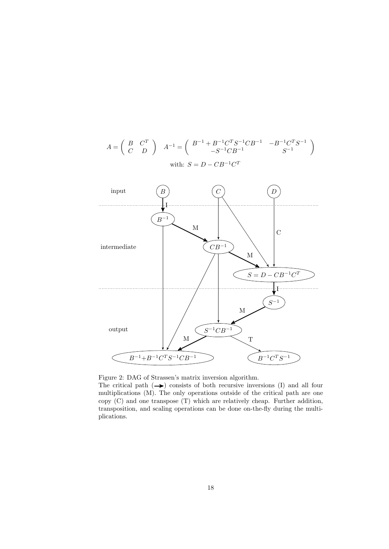

 $A = \left( \begin{array}{cc} B & C^T \ C & D \end{array} \right) \quad A^{-1} = \left( \begin{array}{cc} B^{-1} + B^{-1}C^TS^{-1}CB^{-1} & -B^{-1}C^TS^{-1} \ -S^{-1}CB^{-1} & S^{-1} \end{array} \right)$ 

 $-S^{-1}CB^{-1}$   $S^{-1}$ 

 $\setminus$ 



The critical path  $(\rightarrow)$  consists of both recursive inversions (I) and all four multiplications (M). The only operations outside of the critical path are one copy (C) and one transpose (T) which are relatively cheap. Further addition, transposition, and scaling operations can be done on-the-fly during the multiplications.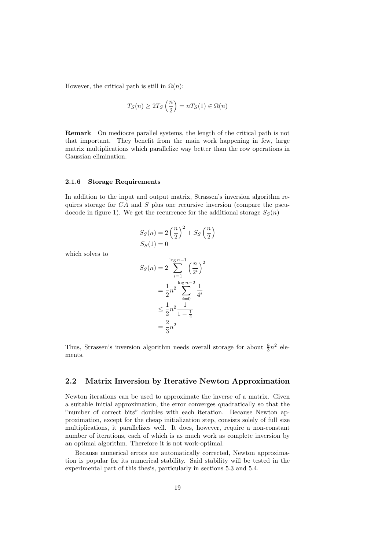However, the critical path is still in  $\Omega(n)$ :

$$
T_S(n) \ge 2T_S\left(\frac{n}{2}\right) = nT_S(1) \in \Omega(n)
$$

Remark On mediocre parallel systems, the length of the critical path is not that important. They benefit from the main work happening in few, large matrix multiplications which parallelize way better than the row operations in Gaussian elimination.

#### 2.1.6 Storage Requirements

In addition to the input and output matrix, Strassen's inversion algorithm requires storage for  $C\tilde{A}$  and S plus one recursive inversion (compare the pseudocode in figure 1). We get the recurrence for the additional storage  $S<sub>S</sub>(n)$ 

$$
S_S(n) = 2\left(\frac{n}{2}\right)^2 + S_S\left(\frac{n}{2}\right)
$$
  

$$
S_S(1) = 0
$$

which solves to

$$
S_S(n) = 2 \sum_{i=1}^{\log n - 1} \left(\frac{n}{2^i}\right)^2
$$
  
=  $\frac{1}{2}n^2 \sum_{i=0}^{\log n - 2} \frac{1}{4^i}$   
 $\leq \frac{1}{2}n^2 \frac{1}{1 - \frac{1}{4}}$   
=  $\frac{2}{3}n^2$ 

Thus, Strassen's inversion algorithm needs overall storage for about  $\frac{8}{3}n^2$  elements.

# 2.2 Matrix Inversion by Iterative Newton Approximation

Newton iterations can be used to approximate the inverse of a matrix. Given a suitable initial approximation, the error converges quadratically so that the "number of correct bits" doubles with each iteration. Because Newton approximation, except for the cheap initialization step, consists solely of full size multiplications, it parallelizes well. It does, however, require a non-constant number of iterations, each of which is as much work as complete inversion by an optimal algorithm. Therefore it is not work-optimal.

Because numerical errors are automatically corrected, Newton approximation is popular for its numerical stability. Said stability will be tested in the experimental part of this thesis, particularly in sections 5.3 and 5.4.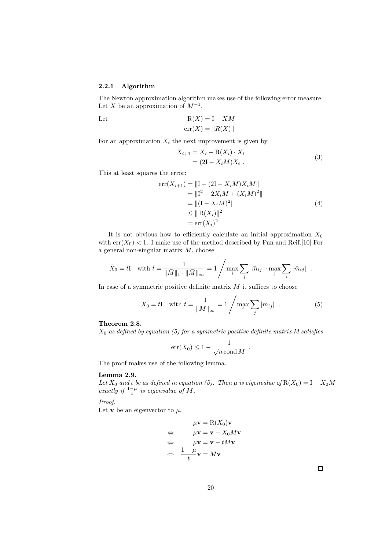#### 2.2.1 Algorithm

The Newton approximation algorithm makes use of the following error measure. Let X be an approximation of  $M^{-1}$ .

Let 
$$
R(X) = I - XM
$$

$$
err(X) = ||R(X)||
$$

For an approximation  $X_i$  the next improvement is given by

$$
X_{i+1} = X_i + R(X_i) \cdot X_i
$$
  
=  $(2I - X_i M)X_i$ . (3)

This at least squares the error:

$$
err(X_{i+1}) = ||I - (2I - X_iM)X_iM||
$$
  
=  $||I^2 - 2X_iM + (X_iM)^2||$   
=  $||(I - X_iM)^2||$   
 $\le ||R(X_i)||^2$   
=  $err(X_i)^2$  (4)

It is not obvious how to efficiently calculate an initial approximation  $X_0$ with  $err(X_0) < 1$ . I make use of the method described by Pan and Reif.[10] For a general non-singular matrix  $\overline{M}$ , choose

$$
\bar{X}_0 = \bar{t}I \quad \text{with } \bar{t} = \frac{1}{\|\bar{M}\|_1 \cdot \|\bar{M}\|_{\infty}} = 1 \Bigg/ \max_i \sum_j |\bar{m}_{ij}| \cdot \max_j \sum_i |\bar{m}_{ij}|.
$$

In case of a symmetric positive definite matrix  $M$  it suffices to choose

$$
X_0 = tI \quad \text{with } t = \frac{1}{\|M\|_{\infty}} = 1 / \max_{i} \sum_{j} |m_{ij}| \quad .
$$
 (5)

## Theorem 2.8.

 $X_0$  as defined by equation (5) for a symmetric positive definite matrix M satisfies

$$
err(X_0) \leq 1 - \frac{1}{\sqrt{n} \operatorname{cond} M}.
$$

The proof makes use of the following lemma.

### Lemma 2.9.

Let  $X_0$  and t be as defined in equation (5). Then  $\mu$  is eigenvalue of  $R(X_0) = I - X_0M$ exactly if  $\frac{1-\mu}{t}$  is eigenvalue of M.

Proof.

Let **v** be an eigenvector to  $\mu$ .

$$
\mu \mathbf{v} = \mathbf{R}(X_0) \mathbf{v}
$$
  
\n
$$
\Leftrightarrow \qquad \mu \mathbf{v} = \mathbf{v} - X_0 M \mathbf{v}
$$
  
\n
$$
\Leftrightarrow \qquad \mu \mathbf{v} = \mathbf{v} - t M \mathbf{v}
$$
  
\n
$$
\Leftrightarrow \qquad \frac{1 - \mu}{t} \mathbf{v} = M \mathbf{v}
$$

 $\Box$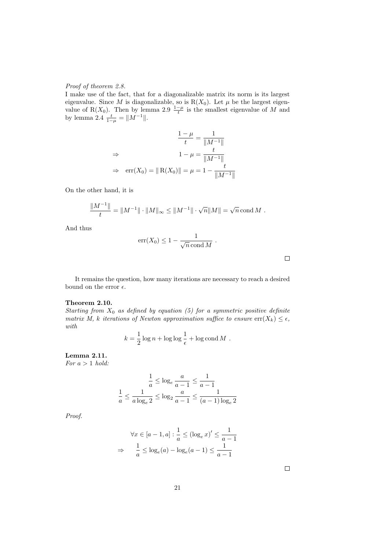#### Proof of theorem 2.8.

I make use of the fact, that for a diagonalizable matrix its norm is its largest eigenvalue. Since M is diagonalizable, so is  $R(X_0)$ . Let  $\mu$  be the largest eigenvalue of R(X<sub>0</sub>). Then by lemma 2.9  $\frac{1-\mu}{t}$  is the smallest eigenvalue of M and by lemma 2.4  $\frac{t}{1-\mu} = ||M^{-1}||.$ 

$$
\frac{1 - \mu}{t} = \frac{1}{\|M^{-1}\|}
$$
  
\n
$$
\Rightarrow \qquad 1 - \mu = \frac{t}{\|M^{-1}\|}
$$
  
\n
$$
\Rightarrow \quad \text{err}(X_0) = \|R(X_0)\| = \mu = 1 - \frac{t}{\|M^{-1}\|}
$$

On the other hand, it is

$$
\frac{\|M^{-1}\|}{t} = \|M^{-1}\| \cdot \|M\|_{\infty} \le \|M^{-1}\| \cdot \sqrt{n} \|M\| = \sqrt{n} \text{ cond } M.
$$

And thus

$$
err(X_0) \le 1 - \frac{1}{\sqrt{n} \operatorname{cond} M} .
$$

 $\hfill \square$ 

It remains the question, how many iterations are necessary to reach a desired bound on the error  $\epsilon$ .

#### Theorem 2.10.

Starting from  $X_0$  as defined by equation (5) for a symmetric positive definite matrix M, k iterations of Newton approximation suffice to ensure  $\text{err}(X_k) \leq \epsilon$ , with

$$
k = \frac{1}{2} \log n + \log \log \frac{1}{\epsilon} + \log \text{cond } M.
$$

Lemma 2.11. For  $a > 1$  hold:

$$
\frac{1}{a} \le \log_e \frac{a}{a-1} \le \frac{1}{a-1}
$$
  

$$
\frac{1}{a} \le \frac{1}{a \log_e 2} \le \log_2 \frac{a}{a-1} \le \frac{1}{(a-1)\log_e 2}
$$

Proof.

$$
\forall x \in [a-1, a] : \frac{1}{a} \le (\log_e x)' \le \frac{1}{a-1}
$$

$$
\Rightarrow \quad \frac{1}{a} \le \log_e(a) - \log_e(a-1) \le \frac{1}{a-1}
$$

 $\Box$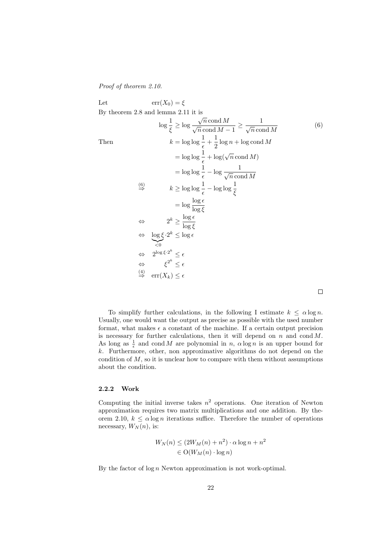Proof of theorem 2.10.

Let 
$$
\operatorname{err}(X_0) = \xi
$$
  
\nBy theorem 2.8 and lemma 2.11 it is  
\n
$$
\log \frac{1}{\xi} \ge \log \frac{\sqrt{n} \operatorname{cond} M}{\sqrt{n} \operatorname{cond} M - 1} \ge \frac{1}{\sqrt{n} \operatorname{cond} M}
$$
\nThen  
\n
$$
k = \log \log \frac{1}{\epsilon} + \frac{1}{2} \log n + \log \operatorname{cond} M
$$
\n
$$
= \log \log \frac{1}{\epsilon} + \log(\sqrt{n} \operatorname{cond} M)
$$
\n
$$
= \log \log \frac{1}{\epsilon} - \log \frac{1}{\sqrt{n} \operatorname{cond} M}
$$
\n
$$
\stackrel{(6)}{\Rightarrow} \qquad k \ge \log \log \frac{1}{\epsilon} - \log \log \frac{1}{\xi}
$$
\n
$$
= \log \frac{\log \epsilon}{\log \xi}
$$
\n
$$
\Leftrightarrow \qquad 2^k \ge \frac{\log \epsilon}{\log \xi}
$$
\n
$$
\Leftrightarrow \qquad 2^k \ge \frac{\log \epsilon}{\log \xi}
$$
\n
$$
\Leftrightarrow \qquad 2^{\log \xi \cdot 2^k} \le \epsilon
$$
\n
$$
\Leftrightarrow \qquad \xi^{2^k} \le \epsilon
$$
\n
$$
\Leftrightarrow \qquad \xi^{2^k} \le \epsilon
$$
\n
$$
\stackrel{(4)}{\Rightarrow} \operatorname{err}(X_k) \le \epsilon
$$

To simplify further calculations, in the following I estimate  $k \leq \alpha \log n$ . Usually, one would want the output as precise as possible with the used number format, what makes  $\epsilon$  a constant of the machine. If a certain output precision is necessary for further calculations, then it will depend on  $n$  and  $\text{cond } M$ . As long as  $\frac{1}{\epsilon}$  and cond M are polynomial in n,  $\alpha \log n$  is an upper bound for k. Furthermore, other, non approximative algorithms do not depend on the condition of  $M$ , so it is unclear how to compare with them without assumptions about the condition.

#### 2.2.2 Work

Computing the initial inverse takes  $n^2$  operations. One iteration of Newton approximation requires two matrix multiplications and one addition. By theorem 2.10,  $k \le \alpha \log n$  iterations suffice. Therefore the number of operations necessary,  $W_N(n)$ , is:

$$
W_N(n) \le (2W_M(n) + n^2) \cdot \alpha \log n + n^2
$$
  
\n
$$
\in \mathcal{O}(W_M(n) \cdot \log n)
$$

By the factor of  $\log n$  Newton approximation is not work-optimal.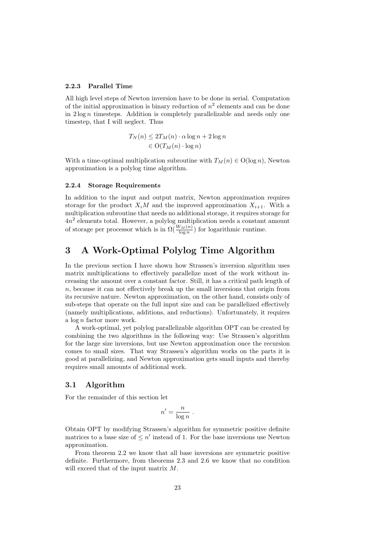#### 2.2.3 Parallel Time

All high level steps of Newton inversion have to be done in serial. Computation of the initial approximation is binary reduction of  $n^2$  elements and can be done in  $2 \log n$  timesteps. Addition is completely parallelizable and needs only one timestep, that I will neglect. Thus

$$
T_N(n) \le 2T_M(n) \cdot \alpha \log n + 2 \log n
$$
  

$$
\in \mathcal{O}(T_M(n) \cdot \log n)
$$

With a time-optimal multiplication subroutine with  $T_M(n) \in O(\log n)$ , Newton approximation is a polylog time algorithm.

#### 2.2.4 Storage Requirements

In addition to the input and output matrix, Newton approximation requires storage for the product  $X_iM$  and the improved approximation  $X_{i+1}$ . With a multiplication subroutine that needs no additional storage, it requires storage for 4n 2 elements total. However, a polylog multiplication needs a constant amount of storage per processor which is in  $\Omega(\frac{W_M(n)}{\log n})$  for logarithmic runtime.

# 3 A Work-Optimal Polylog Time Algorithm

In the previous section I have shown how Strassen's inversion algorithm uses matrix multiplications to effectively parallelize most of the work without increasing the amount over a constant factor. Still, it has a critical path length of  $n$ , because it can not effectively break up the small inversions that origin from its recursive nature. Newton approximation, on the other hand, consists only of sub-steps that operate on the full input size and can be parallelized effectively (namely multiplications, additions, and reductions). Unfortunately, it requires a log n factor more work.

A work-optimal, yet polylog parallelizable algorithm OPT can be created by combining the two algorithms in the following way: Use Strassen's algorithm for the large size inversions, but use Newton approximation once the recursion comes to small sizes. That way Strassen's algorithm works on the parts it is good at parallelizing, and Newton approximation gets small inputs and thereby requires small amounts of additional work.

### 3.1 Algorithm

For the remainder of this section let

$$
n' = \frac{n}{\log n} \ .
$$

Obtain OPT by modifying Strassen's algorithm for symmetric positive definite matrices to a base size of  $\leq n'$  instead of 1. For the base inversions use Newton approximation.

From theorem 2.2 we know that all base inversions are symmetric positive definite. Furthermore, from theorems 2.3 and 2.6 we know that no condition will exceed that of the input matrix M.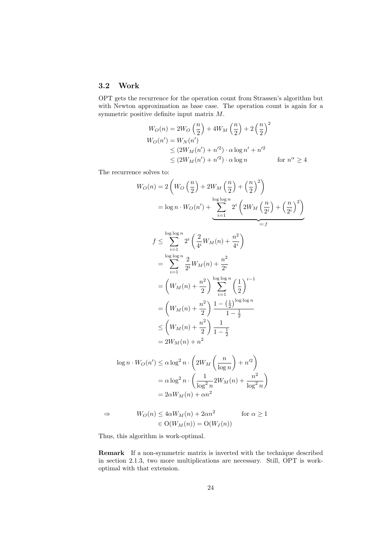# 3.2 Work

OPT gets the recurrence for the operation count from Strassen's algorithm but with Newton approximation as base case. The operation count is again for a symmetric positive definite input matrix M.

$$
W_O(n) = 2W_O\left(\frac{n}{2}\right) + 4W_M\left(\frac{n}{2}\right) + 2\left(\frac{n}{2}\right)^2
$$
  
\n
$$
W_O(n') = W_N(n')
$$
  
\n
$$
\leq (2W_M(n') + n'^2) \cdot \alpha \log n' + n'^2
$$
  
\n
$$
\leq (2W_M(n') + n'^2) \cdot \alpha \log n \qquad \text{for } n^\alpha \geq 4
$$

The recurrence solves to:

$$
W_O(n) = 2\left(W_O\left(\frac{n}{2}\right) + 2W_M\left(\frac{n}{2}\right) + \left(\frac{n}{2}\right)^2\right)
$$
  
\n
$$
= \log n \cdot W_O(n') + \underbrace{\sum_{i=1}^{\log \log n} 2^i \left(2W_M\left(\frac{n}{2^i}\right) + \left(\frac{n}{2^i}\right)^2\right)}_{=:f}
$$
  
\n
$$
f \le \sum_{i=1}^{\log \log n} 2^i \left(\frac{2}{4^i}W_M(n) + \frac{n^2}{4^i}\right)
$$
  
\n
$$
= \sum_{i=1}^{\log \log n} \frac{2}{2^i}W_M(n) + \frac{n^2}{2^i}
$$
  
\n
$$
= \left(W_M(n) + \frac{n^2}{2}\right) \sum_{i=1}^{\log \log n} \left(\frac{1}{2}\right)^{i-1}
$$
  
\n
$$
= \left(W_M(n) + \frac{n^2}{2}\right) \frac{1 - \left(\frac{1}{2}\right)^{\log \log n}}{1 - \frac{1}{2}}
$$
  
\n
$$
\le \left(W_M(n) + \frac{n^2}{2}\right) \frac{1}{1 - \frac{1}{2}}
$$
  
\n
$$
= 2W_M(n) + n^2
$$
  
\n
$$
W_O(n') < \alpha \log^2 n \cdot \left(2W_{1X}\left(\frac{n}{2}\right) + n'^2\right)
$$

$$
\log n \cdot W_O(n') \le \alpha \log^2 n \cdot \left(2W_M \left(\frac{n}{\log n}\right) + n'^2\right)
$$

$$
= \alpha \log^2 n \cdot \left(\frac{1}{\log^2 n} 2W_M(n) + \frac{n^2}{\log^2 n}\right)
$$

$$
= 2\alpha W_M(n) + \alpha n^2
$$

$$
\Rightarrow \qquad W_O(n) \le 4\alpha W_M(n) + 2\alpha n^2 \qquad \text{for } \alpha \ge 1
$$
  

$$
\in \mathcal{O}(W_M(n)) = \mathcal{O}(W_I(n))
$$

Thus, this algorithm is work-optimal.

Remark If a non-symmetric matrix is inverted with the technique described in section 2.1.3, two more multiplications are necessary. Still, OPT is workoptimal with that extension.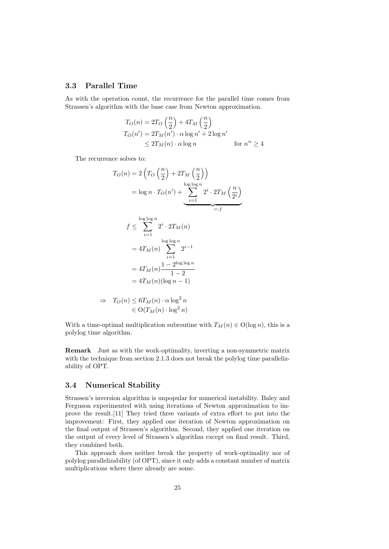## 3.3 Parallel Time

As with the operation count, the recurrence for the parallel time comes from Strassen's algorithm with the base case from Newton approximation.

$$
T_O(n) = 2T_O\left(\frac{n}{2}\right) + 4T_M\left(\frac{n}{2}\right)
$$
  
\n
$$
T_O(n') = 2T_M(n') \cdot \alpha \log n' + 2 \log n'
$$
  
\n
$$
\leq 2T_M(n) \cdot \alpha \log n \qquad \text{for } n^{\alpha} \geq 4
$$

The recurrence solves to:

$$
T_O(n) = 2\left(T_O\left(\frac{n}{2}\right) + 2T_M\left(\frac{n}{2}\right)\right)
$$
  
\n
$$
= \log n \cdot T_O(n') + \sum_{i=1}^{\log \log n} 2^i \cdot 2T_M\left(\frac{n}{2^i}\right)
$$
  
\n
$$
f \le \sum_{i=1}^{\log \log n} 2^i \cdot 2T_M(n)
$$
  
\n
$$
= 4T_M(n) \sum_{i=1}^{\log \log n} 2^{i-1}
$$
  
\n
$$
= 4T_M(n) \frac{1 - 2^{\log \log n}}{1 - 2}
$$
  
\n
$$
= 4T_M(n)(\log n - 1)
$$
  
\n
$$
\Rightarrow T_O(n) \le 6T_M(n) \cdot \alpha \log^2 n
$$
  
\n
$$
\in O(T_M(n) \cdot \log^2 n)
$$

With a time-optimal multiplication subroutine with  $T_M(n) \in O(\log n)$ , this is a polylog time algorithm.

Remark Just as with the work-optimality, inverting a non-symmetric matrix with the technique from section 2.1.3 does not break the polylog time parallelizability of OPT.

## 3.4 Numerical Stability

Strassen's inversion algorithm is unpopular for numerical instability. Baley and Ferguson experimented with using iterations of Newton approximation to improve the result.[11] They tried three variants of extra effort to put into the improvement: First, they applied one iteration of Newton approximation on the final output of Strassen's algorithm. Second, they applied one iteration on the output of every level of Strassen's algorithm except on final result. Third, they combined both.

This approach does neither break the property of work-optimality nor of polylog parallelizability (of OPT), since it only adds a constant number of matrix multiplications where there already are some.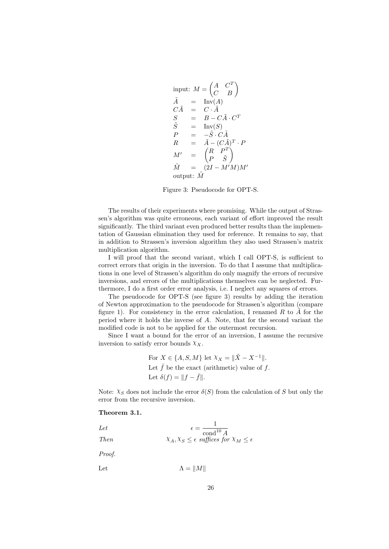input: 
$$
M = \begin{pmatrix} A & C^T \\ C & B \end{pmatrix}
$$
  
\n $\tilde{A} = \text{Inv}(A)$   
\n $C\tilde{A} = C \cdot \tilde{A}$   
\n $S = B - C\tilde{A} \cdot C^T$   
\n $\tilde{S} = \text{Inv}(S)$   
\n $P = -\tilde{S} \cdot C\tilde{A}$   
\n $R = \tilde{A} - (C\tilde{A})^T \cdot P$   
\n $M' = \begin{pmatrix} R & P^T \\ P & \tilde{S} \end{pmatrix}$   
\n $\tilde{M} = (2I - M'M)M'$   
\noutput:  $\tilde{M}$ 

Figure 3: Pseudocode for OPT-S.

The results of their experiments where promising. While the output of Strassen's algorithm was quite erroneous, each variant of effort improved the result significantly. The third variant even produced better results than the implementation of Gaussian elimination they used for reference. It remains to say, that in addition to Strassen's inversion algorithm they also used Strassen's matrix multiplication algorithm.

I will proof that the second variant, which I call OPT-S, is sufficient to correct errors that origin in the inversion. To do that I assume that multiplications in one level of Strassen's algorithm do only magnify the errors of recursive inversions, and errors of the multiplications themselves can be neglected. Furthermore, I do a first order error analysis, i.e. I neglect any squares of errors.

The pseudocode for OPT-S (see figure 3) results by adding the iteration of Newton approximation to the pseudocode for Strassen's algorithm (compare figure 1). For consistency in the error calculation, I renamed  $R$  to  $\tilde{A}$  for the period where it holds the inverse of A. Note, that for the second variant the modified code is not to be applied for the outermost recursion.

Since I want a bound for the error of an inversion, I assume the recursive inversion to satisfy error bounds  $\chi_X$ .

For 
$$
X \in \{A, S, M\}
$$
 let  $\chi_X = ||\tilde{X} - X^{-1}||$ .  
Let  $\bar{f}$  be the exact (arithmetic) value of f.  
Let  $\delta(f) = ||f - \bar{f}||$ .

Note:  $\chi_S$  does not include the error  $\delta(S)$  from the calculation of S but only the error from the recursive inversion.

#### Theorem 3.1.

Let 
$$
\epsilon = \frac{1}{\text{cond}^{10} A}
$$
  
Then 
$$
\chi_A, \chi_S \leq \epsilon \text{ suffices for } \chi_M \leq \epsilon
$$

Proof.

Let  $\Lambda = ||M||$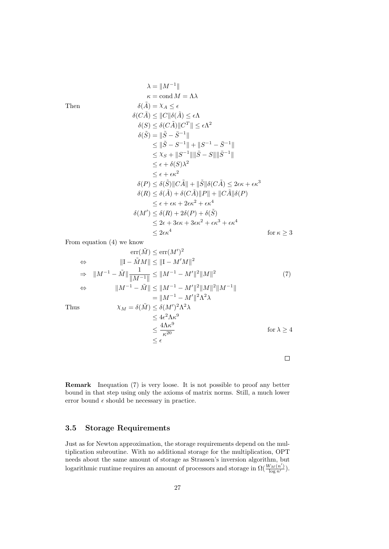$$
\lambda = ||M^{-1}||
$$
\n
$$
\kappa = \text{cond } M = \Lambda \lambda
$$
\n
$$
\delta(\tilde{A}) = \chi_A \le \epsilon
$$
\n
$$
\delta(C\tilde{A}) \le ||C||\delta(\tilde{A}) \le \epsilon \Lambda
$$
\n
$$
\delta(S) \le \delta(C\tilde{A})||C^T|| \le \epsilon \Lambda^2
$$
\n
$$
\delta(\tilde{S}) = ||\tilde{S} - \bar{S}^{-1}||
$$
\n
$$
\le ||\tilde{S} - S^{-1}|| + ||S^{-1} - \bar{S}^{-1}||
$$
\n
$$
\le \chi_S + ||S^{-1}|| ||\bar{S} - S|| ||\bar{S}^{-1}||
$$
\n
$$
\le \epsilon + \delta(S)\lambda^2
$$
\n
$$
\le \epsilon + \epsilon \kappa^2
$$
\n
$$
\delta(P) \le \delta(\tilde{S}) ||C\tilde{A}|| + ||\tilde{S}||\delta(C\tilde{A}) \le 2\epsilon \kappa + \epsilon \kappa^3
$$
\n
$$
\delta(R) \le \delta(\tilde{A}) + \delta(C\tilde{A}) ||P|| + ||C\tilde{A}||\delta(P)
$$
\n
$$
\le \epsilon + \epsilon \kappa + 2\epsilon \kappa^2 + \epsilon \kappa^4
$$
\n
$$
\delta(M') \le \delta(R) + 2\delta(P) + \delta(\tilde{S})
$$
\n
$$
\le 2\epsilon + 3\epsilon \kappa + 3\epsilon \kappa^2 + \epsilon \kappa^3 + \epsilon \kappa^4
$$
\nfor  $\kappa \ge 3$ 

From equation (4) we know

$$
\text{err}(\tilde{M}) \le \text{err}(M')^2
$$
\n
$$
\Leftrightarrow \qquad ||I - \tilde{M}M|| \le ||I - M'M||^2
$$
\n
$$
\Rightarrow \qquad ||M^{-1} - \tilde{M}|| \frac{1}{||M^{-1}||} \le ||M^{-1} - M'||^2 ||M||^2
$$
\n
$$
\Leftrightarrow \qquad ||M^{-1} - \tilde{M}|| \le ||M^{-1} - M'||^2 ||M||^2 ||M^{-1}||
$$
\n
$$
= ||M^{-1} - M'||^2 \Lambda^2 \lambda
$$
\n
$$
\chi_M = \delta(\tilde{M}) \le \delta(M')^2 \Lambda^2 \lambda
$$
\n
$$
\le 4\epsilon^2 \Lambda \kappa^9
$$
\n
$$
\le \frac{4\Lambda \kappa^9}{\kappa^{20}}
$$
\nfor  $\lambda \ge 4$ 

 $\Box$ 

Remark Inequation (7) is very loose. It is not possible to proof any better bound in that step using only the axioms of matrix norms. Still, a much lower error bound  $\epsilon$  should be necessary in practice.

# 3.5 Storage Requirements

Just as for Newton approximation, the storage requirements depend on the multiplication subroutine. With no additional storage for the multiplication, OPT needs about the same amount of storage as Strassen's inversion algorithm, but logarithmic runtime requires an amount of processors and storage in  $\Omega(\frac{W_M(n')}{\log n'})$ .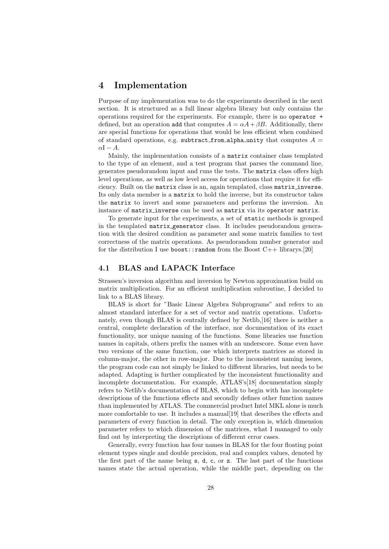# 4 Implementation

Purpose of my implementation was to do the experiments described in the next section. It is structured as a full linear algebra library but only contains the operations required for the experiments. For example, there is no operator + defined, but an operation add that computes  $A = \alpha A + \beta B$ . Additionally, there are special functions for operations that would be less efficient when combined of standard operations, e.g. subtract from alpha unity that computes  $A =$  $\alpha I - A$ .

Mainly, the implementation consists of a matrix container class templated to the type of an element, and a test program that parses the command line, generates pseudorandom input and runs the tests. The matrix class offers high level operations, as well as low level access for operations that require it for efficiency. Built on the matrix class is an, again templated, class matrix inverse. Its only data member is a matrix to hold the inverse, but its constructor takes the matrix to invert and some parameters and performs the inversion. An instance of matrix inverse can be used as matrix via its operator matrix.

To generate input for the experiments, a set of static methods is grouped in the templated matrix generator class. It includes pseudorandom generation with the desired condition as parameter and some matrix families to test correctness of the matrix operations. As pseudorandom number generator and for the distribution I use boost::random from the Boost  $C++$  librarys.[20]

# 4.1 BLAS and LAPACK Interface

Strassen's inversion algorithm and inversion by Newton approximation build on matrix multiplication. For an efficient multiplication subroutine, I decided to link to a BLAS library.

BLAS is short for "Basic Linear Algebra Subprograms" and refers to an almost standard interface for a set of vector and matrix operations. Unfortunately, even though BLAS is centrally defined by Netlib,[16] there is neither a central, complete declaration of the interface, nor documentation of its exact functionality, nor unique naming of the functions. Some libraries use function names in capitals, others prefix the names with an underscore. Some even have two versions of the same function, one which interprets matrices as stored in column-major, the other in row-major. Due to the inconsistent naming issues, the program code can not simply be linked to different libraries, but needs to be adapted. Adapting is further complicated by the inconsistent functionality and incomplete documentation. For example, ATLAS's[18] documentation simply refers to Netlib's documentation of BLAS, which to begin with has incomplete descriptions of the functions effects and secondly defines other function names than implemented by ATLAS. The commercial product Intel MKL alone is much more comfortable to use. It includes a manual[19] that describes the effects and parameters of every function in detail. The only exception is, which dimension parameter refers to which dimension of the matrices, what I managed to only find out by interpreting the descriptions of different error cases.

Generally, every function has four names in BLAS for the four floating point element types single and double precision, real and complex values, denoted by the first part of the name being s, d, c, or z. The last part of the functions names state the actual operation, while the middle part, depending on the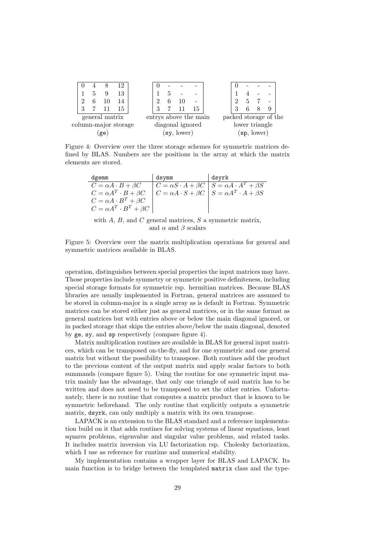|                      |  |  |                  | 15 |  |                |  |  |             | 15                    |  |                       |  |             |  |  |
|----------------------|--|--|------------------|----|--|----------------|--|--|-------------|-----------------------|--|-----------------------|--|-------------|--|--|
|                      |  |  | general matrix   |    |  |                |  |  |             | entrys above the main |  | packed storage of the |  |             |  |  |
| column-major storage |  |  | diagonal ignored |    |  | lower triangle |  |  |             |                       |  |                       |  |             |  |  |
|                      |  |  | ge               |    |  |                |  |  | (sy, lower) |                       |  |                       |  | (sp, lower) |  |  |
|                      |  |  |                  |    |  |                |  |  |             |                       |  |                       |  |             |  |  |

Figure 4: Overview over the three storage schemes for symmetric matrices defined by BLAS. Numbers are the positions in the array at which the matrix elements are stored.

| dgemm                                | dsymm | dsvrk                                                                  |
|--------------------------------------|-------|------------------------------------------------------------------------|
| $C = \alpha A \cdot B + \beta C$     |       | $ C = \alpha S \cdot A + \beta C   S = \alpha A \cdot A^T + \beta S$   |
| $C = \alpha A^T \cdot B + \beta C$   |       | $C = \alpha A \cdot S + \beta C \mid S = \alpha A^T \cdot A + \beta S$ |
| $C = \alpha A \cdot B^T + \beta C$   |       |                                                                        |
| $C = \alpha A^T \cdot B^T + \beta C$ |       |                                                                        |

with  $A, B$ , and  $C$  general matrices,  $S$  a symmetric matrix, and  $\alpha$  and  $\beta$  scalars

Figure 5: Overview over the matrix multiplication operations for general and symmetric matrices available in BLAS.

operation, distinguishes between special properties the input matrices may have. Those properties include symmetry or symmetric positive definiteness, including special storage formats for symmetric rsp. hermitian matrices. Because BLAS libraries are usually implemented in Fortran, general matrices are assumed to be stored in column-major in a single array as is default in Fortran. Symmetric matrices can be stored either just as general matrices, or in the same format as general matrices but with entries above or below the main diagonal ignored, or in packed storage that skips the entries above/below the main diagonal, denoted by ge, sy, and sp respectively (compare figure 4).

Matrix multiplication routines are available in BLAS for general input matrices, which can be transposed on-the-fly, and for one symmetric and one general matrix but without the possibility to transpose. Both routines add the product to the previous content of the output matrix and apply scalar factors to both summands (compare figure 5). Using the routine for one symmetric input matrix mainly has the advantage, that only one triangle of said matrix has to be written and does not need to be transposed to set the other entries. Unfortunately, there is no routine that computes a matrix product that is known to be symmetric beforehand. The only routine that explicitly outputs a symmetric matrix, dsyrk, can only multiply a matrix with its own transpose.

LAPACK is an extension to the BLAS standard and a reference implementation build on it that adds routines for solving systems of linear equations, least squares problems, eigenvalue and singular value problems, and related tasks. It includes matrix inversion via LU factorization rsp. Cholesky factorization, which I use as reference for runtime and numerical stability.

My implementation contains a wrapper layer for BLAS and LAPACK. Its main function is to bridge between the templated matrix class and the type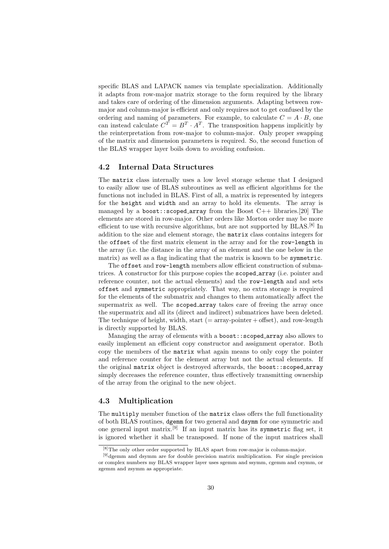specific BLAS and LAPACK names via template specialization. Additionally it adapts from row-major matrix storage to the form required by the library and takes care of ordering of the dimension arguments. Adapting between rowmajor and column-major is efficient and only requires not to get confused by the ordering and naming of parameters. For example, to calculate  $C = A \cdot B$ , one can instead calculate  $C^T = B^T \cdot A^T$ . The transposition happens implicitly by the reinterpretation from row-major to column-major. Only proper swapping of the matrix and dimension parameters is required. So, the second function of the BLAS wrapper layer boils down to avoiding confusion.

# 4.2 Internal Data Structures

The matrix class internally uses a low level storage scheme that I designed to easily allow use of BLAS subroutines as well as efficient algorithms for the functions not included in BLAS. First of all, a matrix is represented by integers for the height and width and an array to hold its elements. The array is managed by a boost::scoped array from the Boost C++ libraries.[20] The elements are stored in row-major. Other orders like Morton order may be more efficient to use with recursive algorithms, but are not supported by  $BLAS$ .<sup>[8]</sup> In addition to the size and element storage, the matrix class contains integers for the offset of the first matrix element in the array and for the row-length in the array (i.e. the distance in the array of an element and the one below in the matrix) as well as a flag indicating that the matrix is known to be symmetric.

The offset and row-length members allow efficient construction of submatrices. A constructor for this purpose copies the scoped array (i.e. pointer and reference counter, not the actual elements) and the row-length and and sets offset and symmetric appropriately. That way, no extra storage is required for the elements of the submatrix and changes to them automatically affect the supermatrix as well. The scoped array takes care of freeing the array once the supermatrix and all its (direct and indirect) submatrices have been deleted. The technique of height, width, start  $(= array\text{-}pointer + offset)$ , and row-length is directly supported by BLAS.

Managing the array of elements with a boost::scoped array also allows to easily implement an efficient copy constructor and assignment operator. Both copy the members of the matrix what again means to only copy the pointer and reference counter for the element array but not the actual elements. If the original matrix object is destroyed afterwards, the boost::scoped array simply decreases the reference counter, thus effectively transmitting ownership of the array from the original to the new object.

## 4.3 Multiplication

The multiply member function of the matrix class offers the full functionality of both BLAS routines, dgemm for two general and dsymm for one symmetric and one general input matrix.[9] If an input matrix has its symmetric flag set, it is ignored whether it shall be transposed. If none of the input matrices shall

<sup>[8]</sup>The only other order supported by BLAS apart from row-major is column-major.

<sup>[9]</sup>dgemm and dsymm are for double precision matrix multiplication. For single precision or complex numbers my BLAS wrapper layer uses sgemm and ssymm, cgemm and csymm, or zgemm and zsymm as appropriate.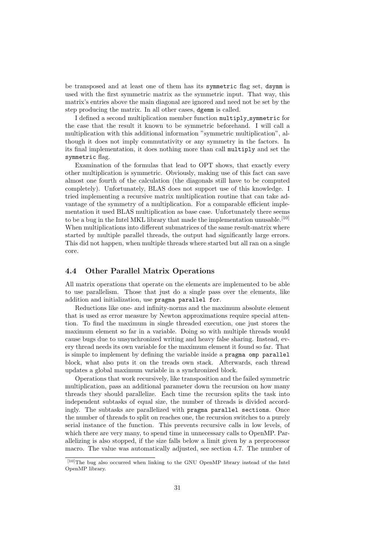be transposed and at least one of them has its symmetric flag set, dsymm is used with the first symmetric matrix as the symmetric input. That way, this matrix's entries above the main diagonal are ignored and need not be set by the step producing the matrix. In all other cases, dgemm is called.

I defined a second multiplication member function multiply symmetric for the case that the result it known to be symmetric beforehand. I will call a multiplication with this additional information "symmetric multiplication", although it does not imply commutativity or any symmetry in the factors. In its final implementation, it does nothing more than call multiply and set the symmetric flag.

Examination of the formulas that lead to OPT shows, that exactly every other multiplication is symmetric. Obviously, making use of this fact can save almost one fourth of the calculation (the diagonals still have to be computed completely). Unfortunately, BLAS does not support use of this knowledge. I tried implementing a recursive matrix multiplication routine that can take advantage of the symmetry of a multiplication. For a comparable efficient implementation it used BLAS multiplication as base case. Unfortunately there seems to be a bug in the Intel MKL library that made the implementation unusable.<sup>[10]</sup> When multiplications into different submatrices of the same result-matrix where started by multiple parallel threads, the output had significantly large errors. This did not happen, when multiple threads where started but all ran on a single core.

#### 4.4 Other Parallel Matrix Operations

All matrix operations that operate on the elements are implemented to be able to use parallelism. Those that just do a single pass over the elements, like addition and initialization, use pragma parallel for.

Reductions like one- and infinity-norms and the maximum absolute element that is used as error measure by Newton approximations require special attention. To find the maximum in single threaded execution, one just stores the maximum element so far in a variable. Doing so with multiple threads would cause bugs due to unsynchronized writing and heavy false sharing. Instead, every thread needs its own variable for the maximum element it found so far. That is simple to implement by defining the variable inside a pragma omp parallel block, what also puts it on the treads own stack. Afterwards, each thread updates a global maximum variable in a synchronized block.

Operations that work recursively, like transposition and the failed symmetric multiplication, pass an additional parameter down the recursion on how many threads they should parallelize. Each time the recursion splits the task into independent subtasks of equal size, the number of threads is divided accordingly. The subtasks are parallelized with pragma parallel sections. Once the number of threads to split on reaches one, the recursion switches to a purely serial instance of the function. This prevents recursive calls in low levels, of which there are very many, to spend time in unnecessary calls to OpenMP. Parallelizing is also stopped, if the size falls below a limit given by a preprocessor macro. The value was automatically adjusted, see section 4.7. The number of

<sup>[10]</sup>The bug also occurred when linking to the GNU OpenMP library instead of the Intel OpenMP library.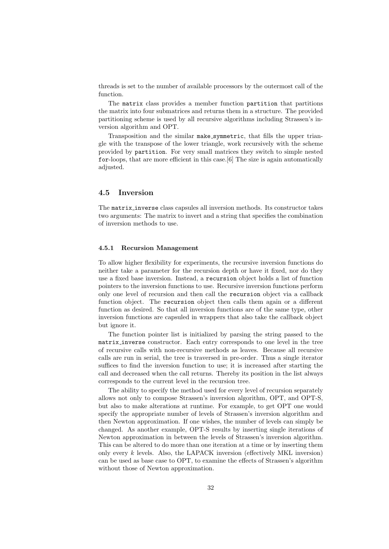threads is set to the number of available processors by the outermost call of the function.

The matrix class provides a member function partition that partitions the matrix into four submatrices and returns them in a structure. The provided partitioning scheme is used by all recursive algorithms including Strassen's inversion algorithm and OPT.

Transposition and the similar make symmetric, that fills the upper triangle with the transpose of the lower triangle, work recursively with the scheme provided by partition. For very small matrices they switch to simple nested for-loops, that are more efficient in this case.[6] The size is again automatically adjusted.

# 4.5 Inversion

The matrix inverse class capsules all inversion methods. Its constructor takes two arguments: The matrix to invert and a string that specifies the combination of inversion methods to use.

#### 4.5.1 Recursion Management

To allow higher flexibility for experiments, the recursive inversion functions do neither take a parameter for the recursion depth or have it fixed, nor do they use a fixed base inversion. Instead, a recursion object holds a list of function pointers to the inversion functions to use. Recursive inversion functions perform only one level of recursion and then call the recursion object via a callback function object. The recursion object then calls them again or a different function as desired. So that all inversion functions are of the same type, other inversion functions are capsuled in wrappers that also take the callback object but ignore it.

The function pointer list is initialized by parsing the string passed to the matrix inverse constructor. Each entry corresponds to one level in the tree of recursive calls with non-recursive methods as leaves. Because all recursive calls are run in serial, the tree is traversed in pre-order. Thus a single iterator suffices to find the inversion function to use; it is increased after starting the call and decreased when the call returns. Thereby its position in the list always corresponds to the current level in the recursion tree.

The ability to specify the method used for every level of recursion separately allows not only to compose Strassen's inversion algorithm, OPT, and OPT-S, but also to make alterations at runtime. For example, to get OPT one would specify the appropriate number of levels of Strassen's inversion algorithm and then Newton approximation. If one wishes, the number of levels can simply be changed. As another example, OPT-S results by inserting single iterations of Newton approximation in between the levels of Strassen's inversion algorithm. This can be altered to do more than one iteration at a time or by inserting them only every  $k$  levels. Also, the LAPACK inversion (effectively MKL inversion) can be used as base case to OPT, to examine the effects of Strassen's algorithm without those of Newton approximation.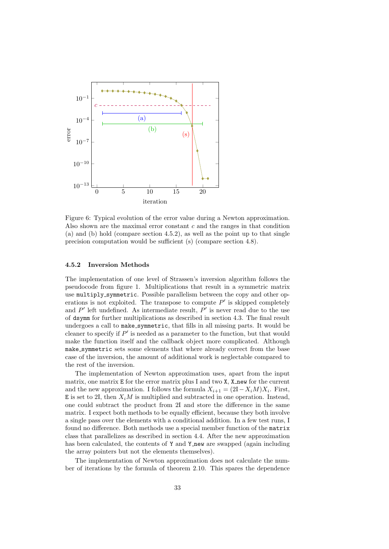

Figure 6: Typical evolution of the error value during a Newton approximation. Also shown are the maximal error constant  $c$  and the ranges in that condition (a) and (b) hold (compare section 4.5.2), as well as the point up to that single precision computation would be sufficient (s) (compare section 4.8).

#### 4.5.2 Inversion Methods

The implementation of one level of Strassen's inversion algorithm follows the pseudocode from figure 1. Multiplications that result in a symmetric matrix use multiply symmetric. Possible parallelism between the copy and other operations is not exploited. The transpose to compute  $P'$  is skipped completely and  $P'$  left undefined. As intermediate result,  $P'$  is never read due to the use of dsymm for further multiplications as described in section 4.3. The final result undergoes a call to make\_symmetric, that fills in all missing parts. It would be cleaner to specify if  $P'$  is needed as a parameter to the function, but that would make the function itself and the callback object more complicated. Although make symmetric sets some elements that where already correct from the base case of the inversion, the amount of additional work is neglectable compared to the rest of the inversion.

The implementation of Newton approximation uses, apart from the input matrix, one matrix E for the error matrix plus I and two X, X new for the current and the new approximation. I follows the formula  $X_{i+1} = (2I - X_iM)X_i$ . First, E is set to 2I, then  $X_iM$  is multiplied and subtracted in one operation. Instead, one could subtract the product from 2I and store the difference in the same matrix. I expect both methods to be equally efficient, because they both involve a single pass over the elements with a conditional addition. In a few test runs, I found no difference. Both methods use a special member function of the matrix class that parallelizes as described in section 4.4. After the new approximation has been calculated, the contents of Y and Y new are swapped (again including the array pointers but not the elements themselves).

The implementation of Newton approximation does not calculate the number of iterations by the formula of theorem 2.10. This spares the dependence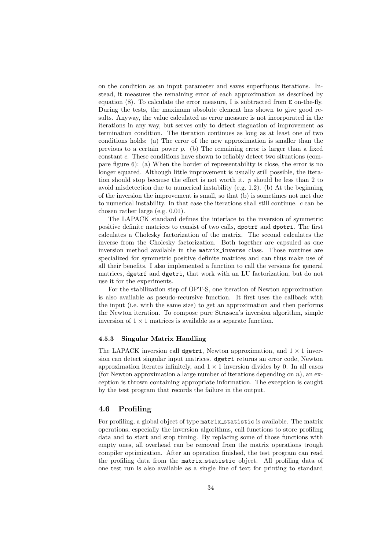on the condition as an input parameter and saves superfluous iterations. Instead, it measures the remaining error of each approximation as described by equation (8). To calculate the error measure, I is subtracted from E on-the-fly. During the tests, the maximum absolute element has shown to give good results. Anyway, the value calculated as error measure is not incorporated in the iterations in any way, but serves only to detect stagnation of improvement as termination condition. The iteration continues as long as at least one of two conditions holds: (a) The error of the new approximation is smaller than the previous to a certain power  $p$ . (b) The remaining error is larger than a fixed constant c. These conditions have shown to reliably detect two situations (compare figure 6): (a) When the border of representability is close, the error is no longer squared. Although little improvement is usually still possible, the iteration should stop because the effort is not worth it.  $p$  should be less than 2 to avoid misdetection due to numerical instability (e.g. 1.2). (b) At the beginning of the inversion the improvement is small, so that (b) is sometimes not met due to numerical instability. In that case the iterations shall still continue.  $c$  can be chosen rather large (e.g. 0.01).

The LAPACK standard defines the interface to the inversion of symmetric positive definite matrices to consist of two calls, dpotrf and dpotri. The first calculates a Cholesky factorization of the matrix. The second calculates the inverse from the Cholesky factorization. Both together are capsuled as one inversion method available in the matrix inverse class. Those routines are specialized for symmetric positive definite matrices and can thus make use of all their benefits. I also implemented a function to call the versions for general matrices, dgetrf and dgetri, that work with an LU factorization, but do not use it for the experiments.

For the stabilization step of OPT-S, one iteration of Newton approximation is also available as pseudo-recursive function. It first uses the callback with the input (i.e. with the same size) to get an approximation and then performs the Newton iteration. To compose pure Strassen's inversion algorithm, simple inversion of  $1 \times 1$  matrices is available as a separate function.

#### 4.5.3 Singular Matrix Handling

The LAPACK inversion call dgetri, Newton approximation, and  $1 \times 1$  inversion can detect singular input matrices. dgetri returns an error code, Newton approximation iterates infinitely, and  $1 \times 1$  inversion divides by 0. In all cases (for Newton approximation a large number of iterations depending on  $n$ ), an exception is thrown containing appropriate information. The exception is caught by the test program that records the failure in the output.

## 4.6 Profiling

For profiling, a global object of type matrix statistic is available. The matrix operations, especially the inversion algorithms, call functions to store profiling data and to start and stop timing. By replacing some of those functions with empty ones, all overhead can be removed from the matrix operations trough compiler optimization. After an operation finished, the test program can read the profiling data from the matrix statistic object. All profiling data of one test run is also available as a single line of text for printing to standard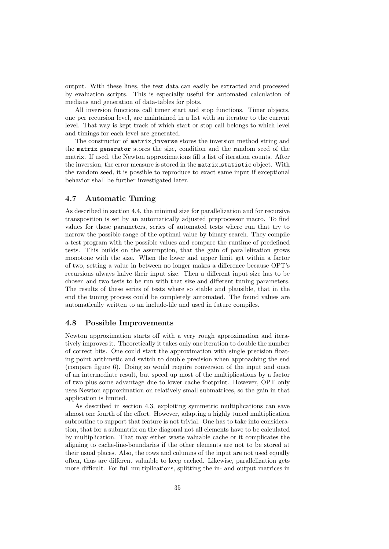output. With these lines, the test data can easily be extracted and processed by evaluation scripts. This is especially useful for automated calculation of medians and generation of data-tables for plots.

All inversion functions call timer start and stop functions. Timer objects, one per recursion level, are maintained in a list with an iterator to the current level. That way is kept track of which start or stop call belongs to which level and timings for each level are generated.

The constructor of matrix inverse stores the inversion method string and the matrix generator stores the size, condition and the random seed of the matrix. If used, the Newton approximations fill a list of iteration counts. After the inversion, the error measure is stored in the matrix statistic object. With the random seed, it is possible to reproduce to exact same input if exceptional behavior shall be further investigated later.

# 4.7 Automatic Tuning

As described in section 4.4, the minimal size for parallelization and for recursive transposition is set by an automatically adjusted preprocessor macro. To find values for those parameters, series of automated tests where run that try to narrow the possible range of the optimal value by binary search. They compile a test program with the possible values and compare the runtime of predefined tests. This builds on the assumption, that the gain of parallelization grows monotone with the size. When the lower and upper limit get within a factor of two, setting a value in between no longer makes a difference because OPT's recursions always halve their input size. Then a different input size has to be chosen and two tests to be run with that size and different tuning parameters. The results of these series of tests where so stable and plausible, that in the end the tuning process could be completely automated. The found values are automatically written to an include-file and used in future compiles.

#### 4.8 Possible Improvements

Newton approximation starts off with a very rough approximation and iteratively improves it. Theoretically it takes only one iteration to double the number of correct bits. One could start the approximation with single precision floating point arithmetic and switch to double precision when approaching the end (compare figure 6). Doing so would require conversion of the input and once of an intermediate result, but speed up most of the multiplications by a factor of two plus some advantage due to lower cache footprint. However, OPT only uses Newton approximation on relatively small submatrices, so the gain in that application is limited.

As described in section 4.3, exploiting symmetric multiplications can save almost one fourth of the effort. However, adapting a highly tuned multiplication subroutine to support that feature is not trivial. One has to take into consideration, that for a submatrix on the diagonal not all elements have to be calculated by multiplication. That may either waste valuable cache or it complicates the aligning to cache-line-boundaries if the other elements are not to be stored at their usual places. Also, the rows and columns of the input are not used equally often, thus are different valuable to keep cached. Likewise, parallelization gets more difficult. For full multiplications, splitting the in- and output matrices in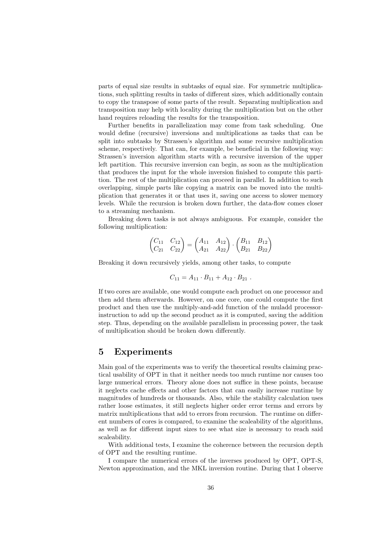parts of equal size results in subtasks of equal size. For symmetric multiplications, such splitting results in tasks of different sizes, which additionally contain to copy the transpose of some parts of the result. Separating multiplication and transposition may help with locality during the multiplication but on the other hand requires reloading the results for the transposition.

Further benefits in parallelization may come from task scheduling. One would define (recursive) inversions and multiplications as tasks that can be split into subtasks by Strassen's algorithm and some recursive multiplication scheme, respectively. That can, for example, be beneficial in the following way: Strassen's inversion algorithm starts with a recursive inversion of the upper left partition. This recursive inversion can begin, as soon as the multiplication that produces the input for the whole inversion finished to compute this partition. The rest of the multiplication can proceed in parallel. In addition to such overlapping, simple parts like copying a matrix can be moved into the multiplication that generates it or that uses it, saving one access to slower memory levels. While the recursion is broken down further, the data-flow comes closer to a streaming mechanism.

Breaking down tasks is not always ambiguous. For example, consider the following multiplication:

$$
\begin{pmatrix} C_{11} & C_{12} \ C_{21} & C_{22} \end{pmatrix} = \begin{pmatrix} A_{11} & A_{12} \ A_{21} & A_{22} \end{pmatrix} \cdot \begin{pmatrix} B_{11} & B_{12} \ B_{21} & B_{22} \end{pmatrix}
$$

Breaking it down recursively yields, among other tasks, to compute

$$
C_{11} = A_{11} \cdot B_{11} + A_{12} \cdot B_{21} .
$$

If two cores are available, one would compute each product on one processor and then add them afterwards. However, on one core, one could compute the first product and then use the multiply-and-add function of the muladd processorinstruction to add up the second product as it is computed, saving the addition step. Thus, depending on the available parallelism in processing power, the task of multiplication should be broken down differently.

# 5 Experiments

Main goal of the experiments was to verify the theoretical results claiming practical usability of OPT in that it neither needs too much runtime nor causes too large numerical errors. Theory alone does not suffice in these points, because it neglects cache effects and other factors that can easily increase runtime by magnitudes of hundreds or thousands. Also, while the stability calculation uses rather loose estimates, it still neglects higher order error terms and errors by matrix multiplications that add to errors from recursion. The runtime on different numbers of cores is compared, to examine the scaleability of the algorithms, as well as for different input sizes to see what size is necessary to reach said scaleability.

With additional tests, I examine the coherence between the recursion depth of OPT and the resulting runtime.

I compare the numerical errors of the inverses produced by OPT, OPT-S, Newton approximation, and the MKL inversion routine. During that I observe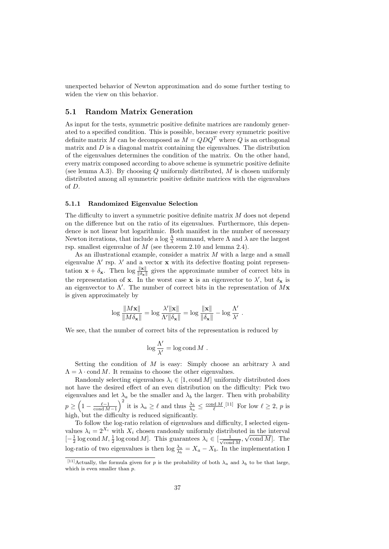unexpected behavior of Newton approximation and do some further testing to widen the view on this behavior.

#### 5.1 Random Matrix Generation

As input for the tests, symmetric positive definite matrices are randomly generated to a specified condition. This is possible, because every symmetric positive definite matrix M can be decomposed as  $M = QDQ<sup>T</sup>$  where Q is an orthogonal matrix and  $D$  is a diagonal matrix containing the eigenvalues. The distribution of the eigenvalues determines the condition of the matrix. On the other hand, every matrix composed according to above scheme is symmetric positive definite (see lemma A.3). By choosing  $Q$  uniformly distributed,  $M$  is chosen uniformly distributed among all symmetric positive definite matrices with the eigenvalues of D.

#### 5.1.1 Randomized Eigenvalue Selection

The difficulty to invert a symmetric positive definite matrix M does not depend on the difference but on the ratio of its eigenvalues. Furthermore, this dependence is not linear but logarithmic. Both manifest in the number of necessary Newton iterations, that include a log  $\frac{\Lambda}{\lambda}$  summand, where  $\Lambda$  and  $\lambda$  are the largest rsp. smallest eigenvalue of M (see theorem 2.10 and lemma 2.4).

As an illustrational example, consider a matrix M with a large and a small eigenvalue  $\Lambda'$  rsp.  $\lambda'$  and a vector x with its defective floating point representation  $\mathbf{x} + \delta_{\mathbf{x}}$ . Then  $\log \frac{\|\mathbf{x}\|}{\|\delta_{\mathbf{x}}\|}$  gives the approximate number of correct bits in the representation of **x**. In the worst case **x** is an eigenvector to  $\lambda'$ , but  $\delta_{\mathbf{x}}$  is an eigenvector to  $\Lambda'$ . The number of correct bits in the representation of  $Mx$ is given approximately by

$$
\log \frac{\|M\mathbf{x}\|}{\|M\delta_{\mathbf{x}}\|} = \log \frac{\lambda'\|\mathbf{x}\|}{\Lambda'\|\delta_{\mathbf{x}}\|} = \log \frac{\|\mathbf{x}\|}{\|\delta_{\mathbf{x}}\|} - \log \frac{\Lambda'}{\lambda'}.
$$

We see, that the number of correct bits of the representation is reduced by

$$
\log \frac{\Lambda'}{\lambda'} = \log \mathop{\rm cond}\nolimits M \; .
$$

Setting the condition of M is easy: Simply choose an arbitrary  $\lambda$  and  $\Lambda = \lambda \cdot \text{cond } M$ . It remains to choose the other eigenvalues.

Randomly selecting eigenvalues  $\lambda_i \in [1, \text{cond } M]$  uniformly distributed does not have the desired effect of an even distribution on the difficulty: Pick two eigenvalues and let  $\lambda_a$  be the smaller and  $\lambda_b$  the larger. Then with probability  $p \geq \left(1 - \frac{\ell - 1}{\text{cond }M - 1}\right)^2$  it is  $\lambda_a \geq \ell$  and thus  $\frac{\lambda_b}{\lambda_a} \leq \frac{\text{cond }M}{\ell}$ . [11] For low  $\ell \geq 2$ , p is high, but the difficulty is reduced significantly.

To follow the log-ratio relation of eigenvalues and difficulty, I selected eigenvalues  $\lambda_i = 2^{X_i}$  with  $X_i$  chosen randomly uniformly distributed in the interval  $[-\frac{1}{2}\log \text{cond}\,M, \frac{1}{2}\log \text{cond}\,M]$ . This guarantees  $\lambda_i \in [\frac{1}{\sqrt{\text{con}}}$  $\frac{1}{\operatorname{cond} M}$ ,  $\sqrt{\operatorname{cond} M}$ . The log-ratio of two eigenvalues is then  $\log \frac{\lambda_a}{\lambda_b} = X_a - X_b$ . In the implementation I

<sup>&</sup>lt;sup>[11]</sup>Actually, the formula given for p is the probability of both  $\lambda_a$  and  $\lambda_b$  to be that large, which is even smaller than  $p$ .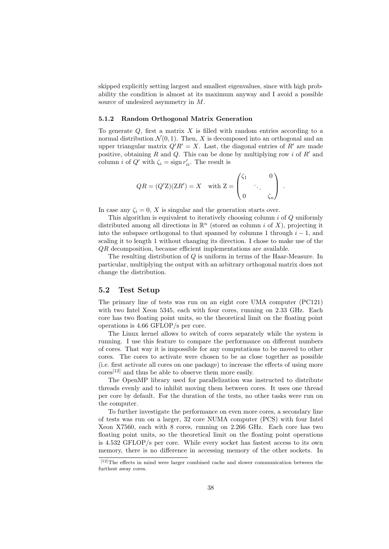skipped explicitly setting largest and smallest eigenvalues, since with high probability the condition is almost at its maximum anyway and I avoid a possible source of undesired asymmetry in M.

#### 5.1.2 Random Orthogonal Matrix Generation

To generate  $Q$ , first a matrix  $X$  is filled with random entries according to a normal distribution  $\mathcal{N}(0, 1)$ . Then, X is decomposed into an orthogonal and an upper triangular matrix  $Q'R' = X$ . Last, the diagonal entries of R' are made positive, obtaining R and Q. This can be done by multiplying row i of  $R'$  and column *i* of  $Q'$  with  $\zeta_i = \text{sign } r'_{ii}$ . The result is

$$
QR = (Q'Z)(ZR') = X \quad \text{with } Z = \begin{pmatrix} \zeta_1 & 0 \\ & \ddots & \\ 0 & & \zeta_n \end{pmatrix} \; .
$$

In case any  $\zeta_i = 0$ , X is singular and the generation starts over.

This algorithm is equivalent to iteratively choosing column i of Q uniformly distributed among all directions in  $\mathbb{R}^n$  (stored as column *i* of X), projecting it into the subspace orthogonal to that spanned by columns 1 through  $i - 1$ , and scaling it to length 1 without changing its direction. I chose to make use of the QR decomposition, because efficient implementations are available.

The resulting distribution of Q is uniform in terms of the Haar-Measure. In particular, multiplying the output with an arbitrary orthogonal matrix does not change the distribution.

# 5.2 Test Setup

The primary line of tests was run on an eight core UMA computer (PC121) with two Intel Xeon 5345, each with four cores, running on 2.33 GHz. Each core has two floating point units, so the theoretical limit on the floating point operations is 4.66 GFLOP/s per core.

The Linux kernel allows to switch of cores separately while the system is running. I use this feature to compare the performance on different numbers of cores. That way it is impossible for any computations to be moved to other cores. The cores to activate were chosen to be as close together as possible (i.e. first activate all cores on one package) to increase the effects of using more  $\arccos[12]$  and thus be able to observe them more easily.

The OpenMP library used for parallelization was instructed to distribute threads evenly and to inhibit moving them between cores. It uses one thread per core by default. For the duration of the tests, no other tasks were run on the computer.

To further investigate the performance on even more cores, a secondary line of tests was run on a larger, 32 core NUMA computer (PCS) with four Intel Xeon X7560, each with 8 cores, running on 2.266 GHz. Each core has two floating point units, so the theoretical limit on the floating point operations is 4.532 GFLOP/s per core. While every socket has fastest access to its own memory, there is no difference in accessing memory of the other sockets. In

 $[12]$ The effects in mind were larger combined cache and slower communication between the furthest away cores.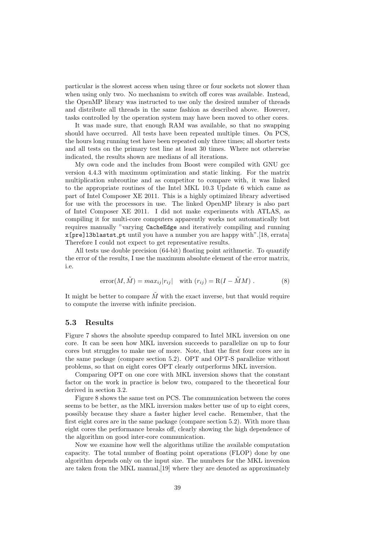particular is the slowest access when using three or four sockets not slower than when using only two. No mechanism to switch off cores was available. Instead, the OpenMP library was instructed to use only the desired number of threads and distribute all threads in the same fashion as described above. However, tasks controlled by the operation system may have been moved to other cores.

It was made sure, that enough RAM was available, so that no swapping should have occurred. All tests have been repeated multiple times. On PCS, the hours long running test have been repeated only three times; all shorter tests and all tests on the primary test line at least 30 times. Where not otherwise indicated, the results shown are medians of all iterations.

My own code and the includes from Boost were compiled with GNU gcc version 4.4.3 with maximum optimization and static linking. For the matrix multiplication subroutine and as competitor to compare with, it was linked to the appropriate routines of the Intel MKL 10.3 Update 6 which came as part of Intel Composer XE 2011. This is a highly optimized library advertised for use with the processors in use. The linked OpenMP library is also part of Intel Composer XE 2011. I did not make experiments with ATLAS, as compiling it for multi-core computers apparently works not automatically but requires manually "varying CacheEdge and iteratively compiling and running x[pre]l3blastst pt until you have a number you are happy with".[18, errata] Therefore I could not expect to get representative results.

All tests use double precision (64-bit) floating point arithmetic. To quantify the error of the results, I use the maximum absolute element of the error matrix, i.e.

$$
error(M, \tilde{M}) = max_{ij}|r_{ij}| \text{ with } (r_{ij}) = R(I - \tilde{M}M). \tag{8}
$$

It might be better to compare  $\tilde{M}$  with the exact inverse, but that would require to compute the inverse with infinite precision.

#### 5.3 Results

Figure 7 shows the absolute speedup compared to Intel MKL inversion on one core. It can be seen how MKL inversion succeeds to parallelize on up to four cores but struggles to make use of more. Note, that the first four cores are in the same package (compare section 5.2). OPT and OPT-S parallelize without problems, so that on eight cores OPT clearly outperforms MKL inversion.

Comparing OPT on one core with MKL inversion shows that the constant factor on the work in practice is below two, compared to the theoretical four derived in section 3.2.

Figure 8 shows the same test on PCS. The communication between the cores seems to be better, as the MKL inversion makes better use of up to eight cores, possibly because they share a faster higher level cache. Remember, that the first eight cores are in the same package (compare section 5.2). With more than eight cores the performance breaks off, clearly showing the high dependence of the algorithm on good inter-core communication.

Now we examine how well the algorithms utilize the available computation capacity. The total number of floating point operations (FLOP) done by one algorithm depends only on the input size. The numbers for the MKL inversion are taken from the MKL manual,[19] where they are denoted as approximately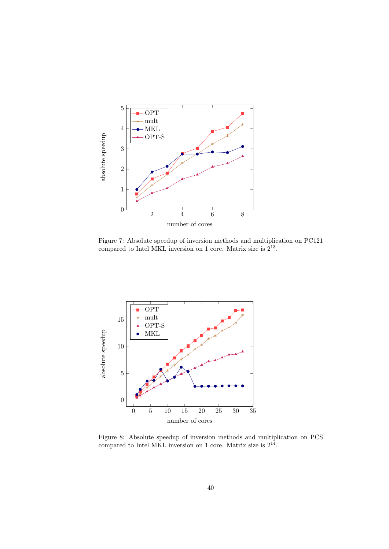

Figure 7: Absolute speedup of inversion methods and multiplication on PC121 compared to Intel MKL inversion on 1 core. Matrix size is  $2^{13}$ .



Figure 8: Absolute speedup of inversion methods and multiplication on PCS compared to Intel MKL inversion on 1 core. Matrix size is  $2^{14}$ .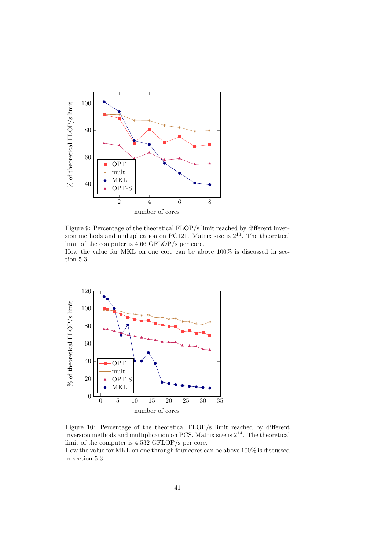

Figure 9: Percentage of the theoretical FLOP/s limit reached by different inversion methods and multiplication on PC121. Matrix size is  $2^{13}$ . The theoretical limit of the computer is 4.66 GFLOP/s per core.

How the value for MKL on one core can be above 100% is discussed in section 5.3.



Figure 10: Percentage of the theoretical FLOP/s limit reached by different inversion methods and multiplication on PCS. Matrix size is 2<sup>14</sup>. The theoretical limit of the computer is 4.532 GFLOP/s per core.

How the value for MKL on one through four cores can be above 100% is discussed in section 5.3.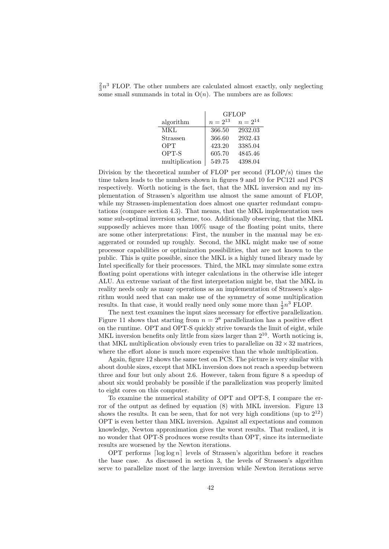$\frac{2}{3}n^3$  FLOP. The other numbers are calculated almost exactly, only neglecting some small summands in total in  $O(n)$ . The numbers are as follows:

|                | <b>GFLOP</b> |              |  |  |  |
|----------------|--------------|--------------|--|--|--|
| algorithm      | $n = 2^{13}$ | $n = 2^{14}$ |  |  |  |
| MKL            | 366.50       | 2932.03      |  |  |  |
| Strassen       | 366.60       | 2932.43      |  |  |  |
| OPT            | 423.20       | 3385.04      |  |  |  |
| OPT-S          | 605.70       | 4845.46      |  |  |  |
| multiplication | 549.75       | 4398.04      |  |  |  |

Division by the theoretical number of FLOP per second (FLOP/s) times the time taken leads to the numbers shown in figures 9 and 10 for PC121 and PCS respectively. Worth noticing is the fact, that the MKL inversion and my implementation of Strassen's algorithm use almost the same amount of FLOP, while my Strassen-implementation does almost one quarter redundant computations (compare section 4.3). That means, that the MKL implementation uses some sub-optimal inversion scheme, too. Additionally observing, that the MKL supposedly achieves more than 100% usage of the floating point units, there are some other interpretations: First, the number in the manual may be exaggerated or rounded up roughly. Second, the MKL might make use of some processor capabilities or optimization possibilities, that are not known to the public. This is quite possible, since the MKL is a highly tuned library made by Intel specifically for their processors. Third, the MKL may simulate some extra floating point operations with integer calculations in the otherwise idle integer ALU. An extreme variant of the first interpretation might be, that the MKL in reality needs only as many operations as an implementation of Strassen's algorithm would need that can make use of the symmetry of some multiplication results. In that case, it would really need only some more than  $\frac{1}{2}n^3$  FLOP.

The next test examines the input sizes necessary for effective parallelization. Figure 11 shows that starting from  $n = 2^8$  parallelization has a positive effect on the runtime. OPT and OPT-S quickly strive towards the limit of eight, while MKL inversion benefits only little from sizes larger than  $2^{10}$ . Worth noticing is, that MKL multiplication obviously even tries to parallelize on  $32 \times 32$  matrices, where the effort alone is much more expensive than the whole multiplication.

Again, figure 12 shows the same test on PCS. The picture is very similar with about double sizes, except that MKL inversion does not reach a speedup between three and four but only about 2.6. However, taken from figure 8 a speedup of about six would probably be possible if the parallelization was properly limited to eight cores on this computer.

To examine the numerical stability of OPT and OPT-S, I compare the error of the output as defined by equation (8) with MKL inversion. Figure 13 shows the results. It can be seen, that for not very high conditions (up to  $2^{12}$ ) OPT is even better than MKL inversion. Against all expectations and common knowledge, Newton approximation gives the worst results. That realized, it is no wonder that OPT-S produces worse results than OPT, since its intermediate results are worsened by the Newton iterations.

OPT performs  $\lceil \log \log n \rceil$  levels of Strassen's algorithm before it reaches the base case. As discussed in section 3, the levels of Strassen's algorithm serve to parallelize most of the large inversion while Newton iterations serve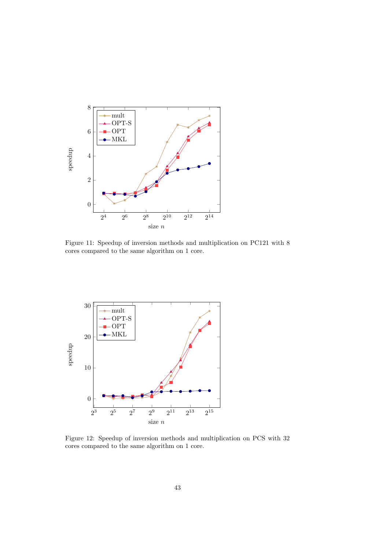

Figure 11: Speedup of inversion methods and multiplication on PC121 with 8 cores compared to the same algorithm on 1 core.



Figure 12: Speedup of inversion methods and multiplication on PCS with 32 cores compared to the same algorithm on 1 core.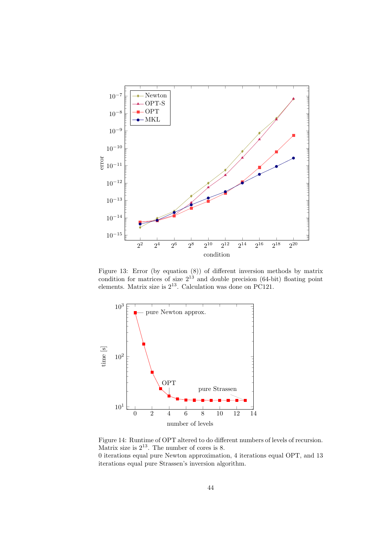

Figure 13: Error (by equation (8)) of different inversion methods by matrix condition for matrices of size  $2^{13}$  and double precision (64-bit) floating point elements. Matrix size is  $2^{13}$ . Calculation was done on PC121.



Figure 14: Runtime of OPT altered to do different numbers of levels of recursion. Matrix size is  $2^{13}$ . The number of cores is 8.

0 iterations equal pure Newton approximation, 4 iterations equal OPT, and 13 iterations equal pure Strassen's inversion algorithm.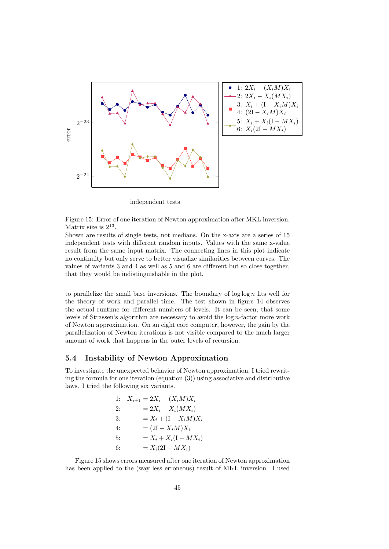

independent tests

Figure 15: Error of one iteration of Newton approximation after MKL inversion. Matrix size is  $2^{13}$ .

Shown are results of single tests, not medians. On the x-axis are a series of 15 independent tests with different random inputs. Values with the same x-value result from the same input matrix. The connecting lines in this plot indicate no continuity but only serve to better visualize similarities between curves. The values of variants 3 and 4 as well as 5 and 6 are different but so close together, that they would be indistinguishable in the plot.

to parallelize the small base inversions. The boundary of  $\log \log n$  fits well for the theory of work and parallel time. The test shown in figure 14 observes the actual runtime for different numbers of levels. It can be seen, that some levels of Strassen's algorithm are necessary to avoid the log n-factor more work of Newton approximation. On an eight core computer, however, the gain by the parallelization of Newton iterations is not visible compared to the much larger amount of work that happens in the outer levels of recursion.

# 5.4 Instability of Newton Approximation

To investigate the unexpected behavior of Newton approximation, I tried rewriting the formula for one iteration (equation (3)) using associative and distributive laws. I tried the following six variants.

| 1: | $X_{i+1} = 2X_i - (X_i M)X_i$ |
|----|-------------------------------|
| 2: | $= 2X_i - X_i(MX_i)$          |
| 3: | $=X_i + (I - X_i M)X_i$       |
| 4: | $= (2I - X_i M)X_i$           |
| 5: | $= X_i + X_i(I - MX_i)$       |
| 6: | $=X_i(2I - MX_i)$             |

Figure 15 shows errors measured after one iteration of Newton approximation has been applied to the (way less erroneous) result of MKL inversion. I used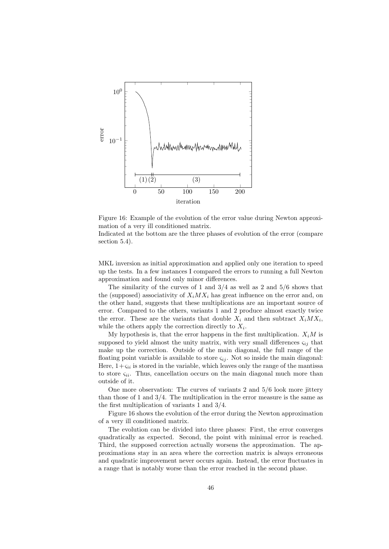

Figure 16: Example of the evolution of the error value during Newton approximation of a very ill conditioned matrix.

Indicated at the bottom are the three phases of evolution of the error (compare section 5.4).

MKL inversion as initial approximation and applied only one iteration to speed up the tests. In a few instances I compared the errors to running a full Newton approximation and found only minor differences.

The similarity of the curves of 1 and  $3/4$  as well as 2 and  $5/6$  shows that the (supposed) associativity of  $X_i$  *MX<sub>i</sub>* has great influence on the error and, on the other hand, suggests that these multiplications are an important source of error. Compared to the others, variants 1 and 2 produce almost exactly twice the error. These are the variants that double  $X_i$  and then subtract  $X_i M X_i$ , while the others apply the correction directly to  $X_i$ .

My hypothesis is, that the error happens in the first multiplication.  $X_iM$  is supposed to yield almost the unity matrix, with very small differences  $\varsigma_{ij}$  that make up the correction. Outside of the main diagonal, the full range of the floating point variable is available to store  $\varsigma_{ij}$ . Not so inside the main diagonal: Here,  $1+\varsigma_{ii}$  is stored in the variable, which leaves only the range of the mantissa to store  $\zeta_{ii}$ . Thus, cancellation occurs on the main diagonal much more than outside of it.

One more observation: The curves of variants 2 and 5/6 look more jittery than those of 1 and  $3/4$ . The multiplication in the error measure is the same as the first multiplication of variants 1 and 3/4.

Figure 16 shows the evolution of the error during the Newton approximation of a very ill conditioned matrix.

The evolution can be divided into three phases: First, the error converges quadratically as expected. Second, the point with minimal error is reached. Third, the supposed correction actually worsens the approximation. The approximations stay in an area where the correction matrix is always erroneous and quadratic improvement never occurs again. Instead, the error fluctuates in a range that is notably worse than the error reached in the second phase.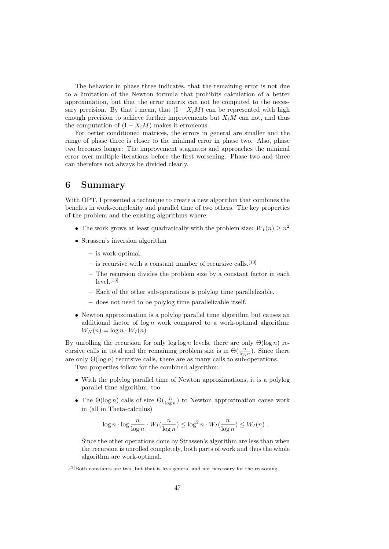The behavior in phase three indicates, that the remaining error is not due to a limitation of the Newton formula that prohibits calculation of a better approximation, but that the error matrix can not be computed to the necessary precision. By that i mean, that  $(I - X_iM)$  can be represented with high enough precision to achieve further improvements but  $X_iM$  can not, and thus the computation of  $(I - X_iM)$  makes it erroneous.

For better conditioned matrices, the errors in general are smaller and the range of phase three is closer to the minimal error in phase two. Also, phase two becomes longer: The improvement stagnates and approaches the minimal error over multiple iterations before the first worsening. Phase two and three can therefore not always be divided clearly.

# 6 Summary

With OPT. I presented a technique to create a new algorithm that combines the benefits in work-complexity and parallel time of two others. The key properties of the problem and the existing algorithms where:

- The work grows at least quadratically with the problem size:  $W_I(n) \geq n^2$
- Strassen's inversion algorithm
	- is work optimal.
	- $-$  is recursive with a constant number of recursive calls.<sup>[13]</sup>
	- The recursion divides the problem size by a constant factor in each  $level.<sup>[13]</sup>$ </sup>
	- Each of the other sub-operations is polylog time parallelizable.
	- does not need to be polylog time parallelizable itself.
- Newton approximation is a polylog parallel time algorithm but causes an additional factor of  $\log n$  work compared to a work-optimal algorithm:  $W_N(n) = \log n \cdot W_I(n)$

By unrolling the recursion for only  $\log \log n$  levels, there are only  $\Theta(\log n)$  recursive calls in total and the remaining problem size is in  $\Theta(\frac{n}{\log n})$ . Since there are only  $\Theta(\log n)$  recursive calls, there are as many calls to sub-operations.

Two properties follow for the combined algorithm:

- With the polylog parallel time of Newton approximations, it is a polylog parallel time algorithm, too.
- The  $\Theta(\log n)$  calls of size  $\Theta(\frac{n}{\log n})$  to Newton approximation cause work in (all in Theta-calculus)

$$
\log n \cdot \log \frac{n}{\log n} \cdot W_I(\frac{n}{\log n}) \le \log^2 n \cdot W_I(\frac{n}{\log n}) \le W_I(n) .
$$

Since the other operations done by Strassen's algorithm are less than when the recursion is unrolled completely, both parts of work and thus the whole algorithm are work-optimal.

 $[13]$ Both constants are two, but that is less general and not necessary for the reasoning.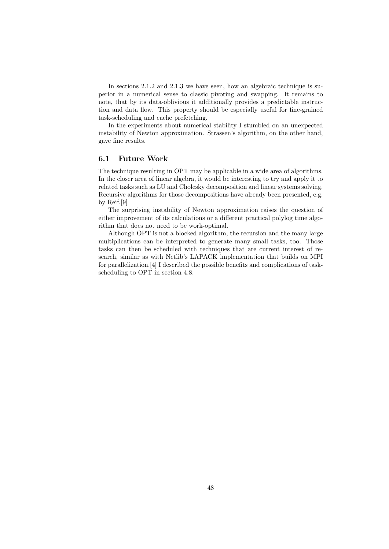In sections 2.1.2 and 2.1.3 we have seen, how an algebraic technique is superior in a numerical sense to classic pivoting and swapping. It remains to note, that by its data-oblivious it additionally provides a predictable instruction and data flow. This property should be especially useful for fine-grained task-scheduling and cache prefetching.

In the experiments about numerical stability I stumbled on an unexpected instability of Newton approximation. Strassen's algorithm, on the other hand, gave fine results.

## 6.1 Future Work

The technique resulting in OPT may be applicable in a wide area of algorithms. In the closer area of linear algebra, it would be interesting to try and apply it to related tasks such as LU and Cholesky decomposition and linear systems solving. Recursive algorithms for those decompositions have already been presented, e.g. by Reif.[9]

The surprising instability of Newton approximation raises the question of either improvement of its calculations or a different practical polylog time algorithm that does not need to be work-optimal.

Although OPT is not a blocked algorithm, the recursion and the many large multiplications can be interpreted to generate many small tasks, too. Those tasks can then be scheduled with techniques that are current interest of research, similar as with Netlib's LAPACK implementation that builds on MPI for parallelization.[4] I described the possible benefits and complications of taskscheduling to OPT in section 4.8.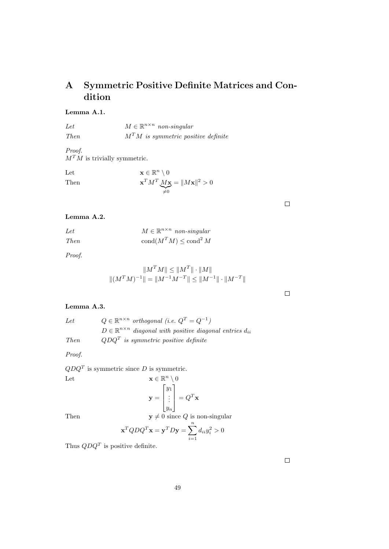# A Symmetric Positive Definite Matrices and Condition

# Lemma A.1.

Let 
$$
M \in \mathbb{R}^{n \times n} \text{ non-singular}
$$
  
Then 
$$
M^T M \text{ is symmetric positive definite}
$$

Proof.  $M^T \dot{M}$  is trivially symmetric.

Let  $\mathbf{x} \in \mathbb{R}^n \setminus 0$ Then  ${}^T{M^T}_{\vphantom X} M\mathbf{x}$  $\widetilde{\neq}0$  $= \|M\mathbf{x}\|^2 > 0$ 

# Lemma A.2.

| Let         | $M \in \mathbb{R}^{n \times n}$ non-singular |
|-------------|----------------------------------------------|
| <i>Then</i> | cond $(M^TM) \leq \text{cond}^2 M$           |

Proof.

$$
||M^T M|| \le ||M^T|| \cdot ||M||
$$
  

$$
||(M^T M)^{-1}|| = ||M^{-1} M^{-T}|| \le ||M^{-1}|| \cdot ||M^{-T}||
$$

## Lemma A.3.

Let  $Q \in \mathbb{R}^{n \times n}$  orthogonal (i.e.  $Q^T = Q^{-1}$ )  $D \in \mathbb{R}^{n \times n}$  diagonal with positive diagonal entries  $d_{ii}$ Then  $QDQ<sup>T</sup>$  is symmetric positive definite

Proof.

 $QDQ<sup>T</sup>$  is symmetric since D is symmetric.

Let 
$$
\mathbf{x} \in \mathbb{R}^n \setminus 0
$$

$$
\mathbf{y} = \begin{bmatrix} y_1 \\ \vdots \\ y_n \end{bmatrix} = Q^T \mathbf{x}
$$

Then  $y \neq 0$  since Q is non-singular

$$
\mathbf{x}^T Q D Q^T \mathbf{x} = \mathbf{y}^T D \mathbf{y} = \sum_{i=1}^n d_{ii} y_i^2 > 0
$$

Thus  $QDQ<sup>T</sup>$  is positive definite.

 $\Box$ 

 $\Box$ 

 $\Box$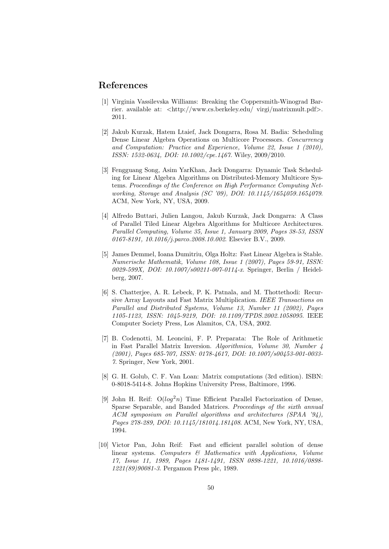# References

- [1] Virginia Vassilevska Williams: Breaking the Coppersmith-Winograd Barrier. available at: <http://www.cs.berkeley.edu/ virgi/matrixmult.pdf>. 2011.
- [2] Jakub Kurzak, Hatem Ltaief, Jack Dongarra, Rosa M. Badia: Scheduling Dense Linear Algebra Operations on Multicore Processors. Concurrency and Computation: Practice and Experience, Volume 22, Issue 1 (2010), ISSN: 1532-0634, DOI: 10.1002/cpe.1467. Wiley, 2009/2010.
- [3] Fengguang Song, Asim YarKhan, Jack Dongarra: Dynamic Task Scheduling for Linear Algebra Algorithms on Distributed-Memory Multicore Systems. Proceedings of the Conference on High Performance Computing Networking, Storage and Analysis (SC '09), DOI: 10.1145/1654059.1654079. ACM, New York, NY, USA, 2009.
- [4] Alfredo Buttari, Julien Langou, Jakub Kurzak, Jack Dongarra: A Class of Parallel Tiled Linear Algebra Algorithms for Multicore Architectures. Parallel Computing, Volume 35, Issue 1, January 2009, Pages 38-53, ISSN 0167-8191, 10.1016/*j.parco.2008.10.002*. Elsevier B.V., 2009.
- [5] James Demmel, Ioana Dumitriu, Olga Holtz: Fast Linear Algebra is Stable. Numerische Mathematik, Volume 108, Issue 1 (2007), Pages 59-91, ISSN: 0029-599X, DOI: 10.1007/s00211-007-0114-x. Springer, Berlin / Heidelberg, 2007.
- [6] S. Chatterjee, A. R. Lebeck, P. K. Patnala, and M. Thottethodi: Recursive Array Layouts and Fast Matrix Multiplication. IEEE Transactions on Parallel and Distributed Systems, Volume 13, Number 11 (2002), Pages 1105-1123, ISSN: 1045-9219, DOI: 10.1109/TPDS.2002.1058095. IEEE Computer Society Press, Los Alamitos, CA, USA, 2002.
- [7] B. Codenotti, M. Leoncini, F. P. Preparata: The Role of Arithmetic in Fast Parallel Matrix Inversion. Algorithmica, Volume 30, Number 4 (2001), Pages 685-707, ISSN: 0178-4617, DOI: 10.1007/s00453-001-0033- 7. Springer, New York, 2001.
- [8] G. H. Golub, C. F. Van Loan: Matrix computations (3rd edition). ISBN: 0-8018-5414-8. Johns Hopkins University Press, Baltimore, 1996.
- [9] John H. Reif:  $O(log^2n)$  Time Efficient Parallel Factorization of Dense, Sparse Separable, and Banded Matrices. Proceedings of the sixth annual ACM symposium on Parallel algorithms and architectures (SPAA '94), Pages 278-289, DOI: 10.1145/181014.181408. ACM, New York, NY, USA, 1994.
- [10] Victor Pan, John Reif: Fast and efficient parallel solution of dense linear systems. Computers & Mathematics with Applications, Volume 17, Issue 11, 1989, Pages 1481-1491, ISSN 0898-1221, 10.1016/0898- 1221(89)90081-3. Pergamon Press plc, 1989.